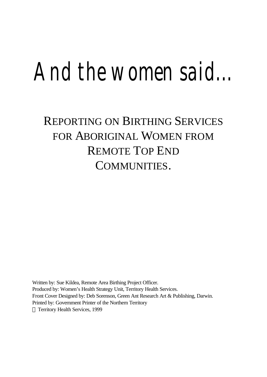# *And the women said...*

# REPORTING ON BIRTHING SERVICES FOR ABORIGINAL WOMEN FROM REMOTE TOP END COMMUNITIES.

Written by: Sue Kildea, Remote Area Birthing Project Officer. Produced by: Women's Health Strategy Unit, Territory Health Services. Front Cover Designed by: Deb Sorenson, Green Ant Research Art & Publishing, Darwin. Printed by: Government Printer of the Northern Territory © Territory Health Services, 1999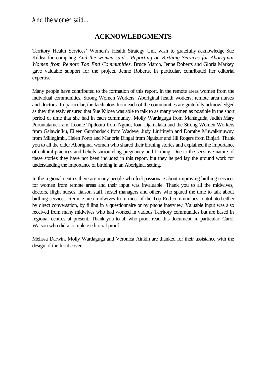# **ACKNOWLEDGMENTS**

Territory Health Services' Women's Health Strategy Unit wish to gratefully acknowledge Sue Kildea for compiling *And the women said... Reporting on Birthing Services for Aboriginal Women from Remote Top End Communities.* Bruce March, Jenne Roberts and Gloria Markey gave valuable support for the project. Jenne Roberts, in particular, contributed her editorial expertise.

Many people have contributed to the formation of this report. In the remote areas women from the individual communities, Strong Women Workers, Aboriginal health workers, remote area nurses and doctors. In particular, the facilitators from each of the communities are gratefully acknowledged as they tirelessly ensured that Sue Kildea was able to talk to as many women as possible in the short period of time that she had in each community. Molly Wardaguga from Maningrida, Judith Mary Puruntatameri and Leonie Tipiloura from Nguiu, Joan Djamalaka and the Strong Women Workers from Galawin'ku, Eileen Gumbuduck from Wadeye, Judy Lirririnyin and Dorothy Muwalkmuwuy from Milingimbi, Helen Porto and Marjorie Dingal from Ngukurr and Jill Rogers from Binjari. Thank you to all the older Aboriginal women who shared their birthing stories and explained the importance of cultural practices and beliefs surrounding pregnancy and birthing. Due to the sensitive nature of these stories they have not been included in this report, but they helped lay the ground work for understanding the importance of birthing in an Aboriginal setting.

In the regional centres there are many people who feel passionate about improving birthing services for women from remote areas and their input was invaluable. Thank you to all the midwives, doctors, flight nurses, liaison staff, hostel managers and others who spared the time to talk about birthing services. Remote area midwives from most of the Top End communities contributed either by direct conversation, by filling in a questionnaire or by phone interview. Valuable input was also received from many midwives who had worked in various Territory communities but are based in regional centres at present. Thank you to all who proof read this document, in particular, Carol Watson who did a complete editorial proof.

Melissa Darwin, Molly Wardaguga and Veronica Ainkin are thanked for their assistance with the design of the front cover.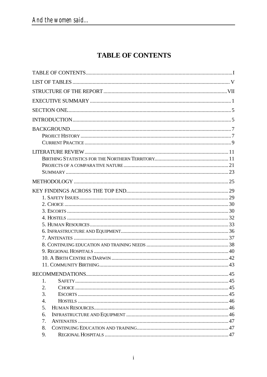# **TABLE OF CONTENTS**

| 1.                    |  |
|-----------------------|--|
| 2.                    |  |
| 3.                    |  |
| $\mathcal{A}_{\cdot}$ |  |
| 5.                    |  |
| 6.                    |  |
| 7.                    |  |
| 8.                    |  |
| 9.                    |  |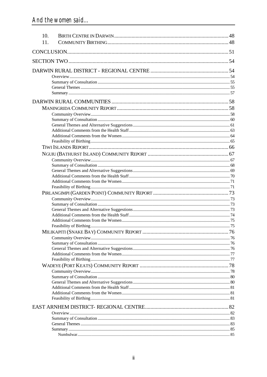| 10. |     |
|-----|-----|
| 11. |     |
|     |     |
|     |     |
|     |     |
|     |     |
|     |     |
|     |     |
|     |     |
|     |     |
|     |     |
|     |     |
|     |     |
|     |     |
|     |     |
|     |     |
|     |     |
|     |     |
|     |     |
|     |     |
|     |     |
|     |     |
|     |     |
|     |     |
|     |     |
|     |     |
|     |     |
|     |     |
|     |     |
|     |     |
|     |     |
|     |     |
|     | .76 |
|     |     |
|     |     |
|     |     |
|     |     |
|     |     |
|     |     |
|     |     |
|     |     |
|     |     |
|     |     |
|     |     |
|     |     |
|     |     |
|     |     |
|     |     |
|     |     |
|     |     |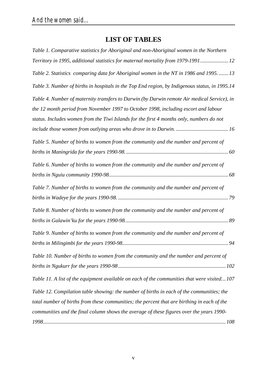# **LIST OF TABLES**

| Table 1. Comparative statistics for Aboriginal and non-Aboriginal women in the Northern        |
|------------------------------------------------------------------------------------------------|
| Territory in 1995, additional statistics for maternal mortality from 1979-1991 12              |
| Table 2. Statistics comparing data for Aboriginal women in the NT in 1986 and 1995.  13        |
| Table 3. Number of births in hospitals in the Top End region, by Indigenous status, in 1995.14 |
| Table 4. Number of maternity transfers to Darwin (by Darwin remote Air medical Service), in    |
| the 12 month period from November 1997 to October 1998, including escort and labour            |
| status. Includes women from the Tiwi Islands for the first 4 months only, numbers do not       |
|                                                                                                |
| Table 5. Number of births to women from the community and the number and percent of            |
|                                                                                                |
| Table 6. Number of births to women from the community and the number and percent of            |
|                                                                                                |
| Table 7. Number of births to women from the community and the number and percent of            |
|                                                                                                |
| Table 8. Number of births to women from the community and the number and percent of            |
|                                                                                                |
| Table 9. Number of births to women from the community and the number and percent of            |
|                                                                                                |
| Table 10. Number of births to women from the community and the number and percent of           |
|                                                                                                |
| Table 11. A list of the equipment available on each of the communities that were visited 107   |
| Table 12. Compilation table showing: the number of births in each of the communities; the      |
| total number of births from these communities; the percent that are birthing in each of the    |
| communities and the final column shows the average of these figures over the years 1990-       |
|                                                                                                |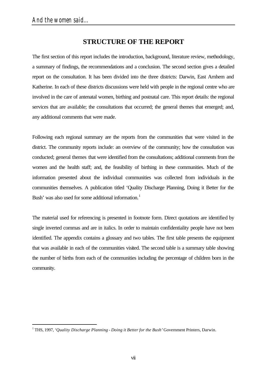# **STRUCTURE OF THE REPORT**

The first section of this report includes the introduction, background, literature review, methodology, a summary of findings, the recommendations and a conclusion. The second section gives a detailed report on the consultation. It has been divided into the three districts: Darwin, East Arnhem and Katherine. In each of these districts discussions were held with people in the regional centre who are involved in the care of antenatal women, birthing and postnatal care. This report details: the regional services that are available; the consultations that occurred; the general themes that emerged; and, any additional comments that were made.

Following each regional summary are the reports from the communities that were visited in the district. The community reports include: an overview of the community; how the consultation was conducted; general themes that were identified from the consultations; additional comments from the women and the health staff; and, the feasibility of birthing in these communities. Much of the information presented about the individual communities was collected from individuals in the communities themselves. A publication titled 'Quality Discharge Planning, Doing it Better for the Bush' was also used for some additional information.<sup>1</sup>

The material used for referencing is presented in footnote form. Direct quotations are identified by single inverted commas and are in italics. In order to maintain confidentiality people have not been identified. The appendix contains a glossary and two tables. The first table presents the equipment that was available in each of the communities visited. The second table is a summary table showing the number of births from each of the communities including the percentage of children born in the community.

<sup>&</sup>lt;sup>1</sup> THS, 1997, *'Quality Discharge Planning - Doing it Better for the Bush'* Government Printers, Darwin.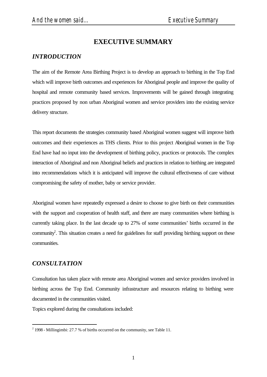# **EXECUTIVE SUMMARY**

# *INTRODUCTION*

The aim of the Remote Area Birthing Project is to develop an approach to birthing in the Top End which will improve birth outcomes and experiences for Aboriginal people and improve the quality of hospital and remote community based services. Improvements will be gained through integrating practices proposed by non urban Aboriginal women and service providers into the existing service delivery structure.

This report documents the strategies community based Aboriginal women suggest will improve birth outcomes and their experiences as THS clients. Prior to this project Aboriginal women in the Top End have had no input into the development of birthing policy, practices or protocols. The complex interaction of Aboriginal and non Aboriginal beliefs and practices in relation to birthing are integrated into recommendations which it is anticipated will improve the cultural effectiveness of care without compromising the safety of mother, baby or service provider.

Aboriginal women have repeatedly expressed a desire to choose to give birth on their communities with the support and cooperation of health staff, and there are many communities where birthing is currently taking place. In the last decade up to 27% of some communities' births occurred in the community<sup>2</sup>. This situation creates a need for guidelines for staff providing birthing support on these communities.

## *CONSULTATION*

l

Consultation has taken place with remote area Aboriginal women and service providers involved in birthing across the Top End. Community infrastructure and resources relating to birthing were documented in the communities visited.

Topics explored during the consultations included:

 $2^{2}$  1998 - Millingimbi: 27.7 % of births occurred on the community, see Table 11.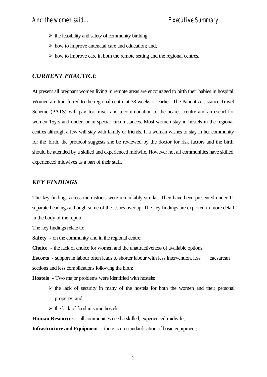- $\triangleright$  the feasibility and safety of community birthing;
- $\triangleright$  how to improve antenatal care and education; and,
- $\triangleright$  how to improve care in both the remote setting and the regional centres.

#### *CURRENT PRACTICE*

At present all pregnant women living in remote areas are encouraged to birth their babies in hospital. Women are transferred to the regional centre at 38 weeks or earlier. The Patient Assistance Travel Scheme (PATS) will pay for travel and accommodation to the nearest centre and an escort for women 15yrs and under, or in special circumstances. Most women stay in hostels in the regional centres although a few will stay with family or friends. If a woman wishes to stay in her community for the birth, the protocol suggests she be reviewed by the doctor for risk factors and the birth should be attended by a skilled and experienced midwife. However not all communities have skilled, experienced midwives as a part of their staff.

#### *KEY FINDINGS*

The key findings across the districts were remarkably similar. They have been presented under 11 separate headings although some of the issues overlap. The key findings are explored in more detail in the body of the report.

The key findings relate to:

**Safety** - on the community and in the regional centre;

**Choice** - the lack of choice for women and the unattractiveness of available options;

**Escorts** - support in labour often leads to shorter labour with less intervention, less caesarean sections and less complications following the birth;

**Hostels** - Two major problems were identified with hostels:

- $\triangleright$  the lack of security in many of the hostels for both the women and their personal property; and,
- $\triangleright$  the lack of food in some hostels

**Human Resources** - all communities need a skilled, experienced midwife;

**Infrastructure and Equipment** - there is no standardisation of basic equipment;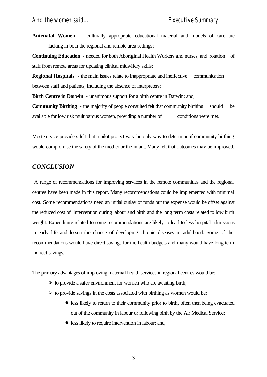**Antenatal Women** - culturally appropriate educational material and models of care are lacking in both the regional and remote area settings;

**Continuing Education** - needed for both Aboriginal Health Workers and nurses, and rotation of staff from remote areas for updating clinical midwifery skills;

**Regional Hospitals** - the main issues relate to inappropriate and ineffective communication between staff and patients, including the absence of interpreters;

**Birth Centre in Darwin** - unanimous support for a birth centre in Darwin; and,

**Community Birthing** - the majority of people consulted felt that community birthing should be available for low risk multiparous women, providing a number of conditions were met.

Most service providers felt that a pilot project was the only way to determine if community birthing would compromise the safety of the mother or the infant. Many felt that outcomes may be improved.

#### *CONCLUSION*

 A range of recommendations for improving services in the remote communities and the regional centres have been made in this report. Many recommendations could be implemented with minimal cost. Some recommendations need an initial outlay of funds but the expense would be offset against the reduced cost of intervention during labour and birth and the long term costs related to low birth weight. Expenditure related to some recommendations are likely to lead to less hospital admissions in early life and lessen the chance of developing chronic diseases in adulthood. Some of the recommendations would have direct savings for the health budgets and many would have long term indirect savings.

The primary advantages of improving maternal health services in regional centres would be:

- $\triangleright$  to provide a safer environment for women who are awaiting birth;
- $\triangleright$  to provide savings in the costs associated with birthing as women would be:
	- ♦ less likely to return to their community prior to birth, often then being evacuated out of the community in labour or following birth by the Air Medical Service;
	- ♦ less likely to require intervention in labour; and,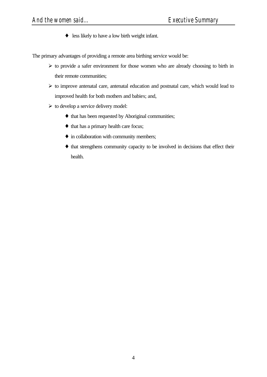♦ less likely to have a low birth weight infant.

The primary advantages of providing a remote area birthing service would be:

- $\triangleright$  to provide a safer environment for those women who are already choosing to birth in their remote communities;
- $\triangleright$  to improve antenatal care, antenatal education and postnatal care, which would lead to improved health for both mothers and babies; and,
- $\triangleright$  to develop a service delivery model:
	- ♦ that has been requested by Aboriginal communities;
	- ♦ that has a primary health care focus;
	- ♦ in collaboration with community members;
	- ♦ that strengthens community capacity to be involved in decisions that effect their health.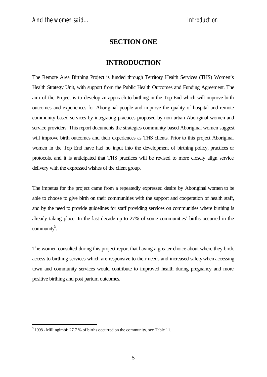# **SECTION ONE**

# **INTRODUCTION**

The Remote Area Birthing Project is funded through Territory Health Services (THS) Women's Health Strategy Unit, with support from the Public Health Outcomes and Funding Agreement. The aim of the Project is to develop an approach to birthing in the Top End which will improve birth outcomes and experiences for Aboriginal people and improve the quality of hospital and remote community based services by integrating practices proposed by non urban Aboriginal women and service providers. This report documents the strategies community based Aboriginal women suggest will improve birth outcomes and their experiences as THS clients. Prior to this project Aboriginal women in the Top End have had no input into the development of birthing policy, practices or protocols, and it is anticipated that THS practices will be revised to more closely align service delivery with the expressed wishes of the client group.

The impetus for the project came from a repeatedly expressed desire by Aboriginal women to be able to choose to give birth on their communities with the support and cooperation of health staff, and by the need to provide guidelines for staff providing services on communities where birthing is already taking place. In the last decade up to 27% of some communities' births occurred in the community<sup>3</sup>.

The women consulted during this project report that having a greater choice about where they birth, access to birthing services which are responsive to their needs and increased safety when accessing town and community services would contribute to improved health during pregnancy and more positive birthing and post partum outcomes.

l

 $3$  1998 - Millingimbi: 27.7 % of births occurred on the community, see Table 11.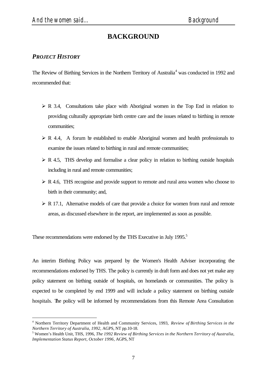# **BACKGROUND**

#### *PROJECT HISTORY*

l

The Review of Birthing Services in the Northern Territory of Australia<sup>4</sup> was conducted in 1992 and recommended that:

- $\triangleright$  R 3.4, Consultations take place with Aboriginal women in the Top End in relation to providing culturally appropriate birth centre care and the issues related to birthing in remote communities;
- $\triangleright$  R 4.4, A forum be established to enable Aboriginal women and health professionals to examine the issues related to birthing in rural and remote communities;
- $\triangleright$  R 4.5, THS develop and formalise a clear policy in relation to birthing outside hospitals including in rural and remote communities;
- $\triangleright$  R 4.6, THS recognise and provide support to remote and rural area women who choose to birth in their community; and,
- $\triangleright$  R 17.1, Alternative models of care that provide a choice for women from rural and remote areas, as discussed elsewhere in the report, are implemented as soon as possible.

These recommendations were endorsed by the THS Executive in July 1995.<sup>5</sup>

An interim Birthing Policy was prepared by the Women's Health Adviser incorporating the recommendations endorsed by THS. The policy is currently in draft form and does not yet make any policy statement on birthing outside of hospitals, on homelands or communities. The policy is expected to be completed by end 1999 and will include a policy statement on birthing outside hospitals. The policy will be informed by recommendations from this Remote Area Consultation

<sup>4</sup> Northern Territory Department of Health and Community Services, 1993, *Review of Birthing Services in the Northern Territory of Australia, 1992,* AGPS, NT pp.10-18.

<sup>5</sup> Women's Health Unit, THS, 1996, *The 1992 Review of Birthing Services in the Northern Territory of Australia, Implementation Status Report, October 1996,* AGPS, NT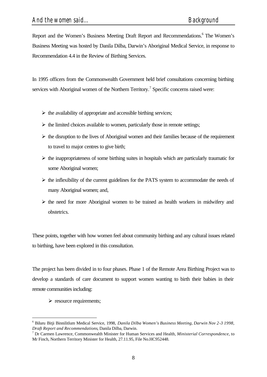Report and the Women's Business Meeting Draft Report and Recommendations.<sup>6</sup> The Women's Business Meeting was hosted by Danila Dilba, Darwin's Aboriginal Medical Service, in response to Recommendation 4.4 in the Review of Birthing Services.

In 1995 officers from the Commonwealth Government held brief consultations concerning birthing services with Aboriginal women of the Northern Territory.<sup>7</sup> Specific concerns raised were:

- $\triangleright$  the availability of appropriate and accessible birthing services;
- $\triangleright$  the limited choices available to women, particularly those in remote settings;
- $\triangleright$  the disruption to the lives of Aboriginal women and their families because of the requirement to travel to major centres to give birth;
- $\triangleright$  the inappropriateness of some birthing suites in hospitals which are particularly traumatic for some Aboriginal women;
- $\triangleright$  the inflexibility of the current guidelines for the PATS system to accommodate the needs of many Aboriginal women; and,
- $\triangleright$  the need for more Aboriginal women to be trained as health workers in midwifery and obstetrics.

These points, together with how women feel about community birthing and any cultural issues related to birthing, have been explored in this consultation.

The project has been divided in to four phases. Phase 1 of the Remote Area Birthing Project was to develop a standards of care document to support women wanting to birth their babies in their remote communities including:

 $\triangleright$  resource requirements;

l

<sup>6</sup> Biluru Bitji Binnilitlum Medical Service, 1998, *Danila Dilba Women's Business Meeting, Darwin Nov 2-3 1998, Draft Report and Recommendations*, Danila Dilba, Darwin.

<sup>7</sup> Dr Carmen Lawrence, Commonwealth Minister for Human Services and Health, *Ministerial Correspondence*, to Mr Finch, Northern Territory Minister for Health, 27.11.95, File No.HC952448.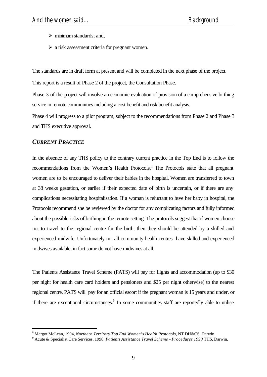- $\triangleright$  minimum standards; and,
- $\triangleright$  a risk assessment criteria for pregnant women.

The standards are in draft form at present and will be completed in the next phase of the project.

This report is a result of Phase 2 of the project, the Consultation Phase.

Phase 3 of the project will involve an economic evaluation of provision of a comprehensive birthing service in remote communities including a cost benefit and risk benefit analysis.

Phase 4 will progress to a pilot program, subject to the recommendations from Phase 2 and Phase 3 and THS executive approval.

#### *CURRENT PRACTICE*

l

In the absence of any THS policy to the contrary current practice in the Top End is to follow the recommendations from the Women's Health Protocols.<sup>8</sup> The Protocols state that all pregnant women are to be encouraged to deliver their babies in the hospital. Women are transferred to town at 38 weeks gestation, or earlier if their expected date of birth is uncertain, or if there are any complications necessitating hospitalisation. If a woman is reluctant to have her baby in hospital, the Protocols recommend she be reviewed by the doctor for any complicating factors and fully informed about the possible risks of birthing in the remote setting. The protocols suggest that if women choose not to travel to the regional centre for the birth, then they should be attended by a skilled and experienced midwife. Unfortunately not all community health centres have skilled and experienced midwives available, in fact some do not have midwives at all.

The Patients Assistance Travel Scheme (PATS) will pay for flights and accommodation (up to \$30 per night for health care card holders and pensioners and \$25 per night otherwise) to the nearest regional centre. PATS will pay for an official escort if the pregnant woman is 15 years and under, or if there are exceptional circumstances.<sup>9</sup> In some communities staff are reportedly able to utilise

<sup>8</sup> Margot McLean, 1994, *Northern Territory Top End Women's Health Protocols,* NT DH&CS, Darwin.

<sup>9</sup> Acute & Specialist Care Services, 1998*, Patients Assistance Travel Scheme - Procedures 1998* THS, Darwin.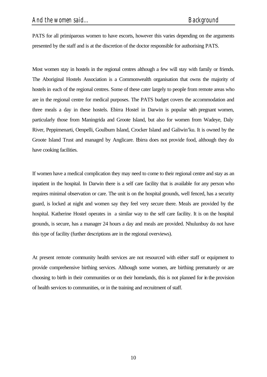PATS for all primiparous women to have escorts, however this varies depending on the arguments presented by the staff and is at the discretion of the doctor responsible for authorising PATS.

Most women stay in hostels in the regional centres although a few will stay with family or friends. The Aboriginal Hostels Association is a Commonwealth organisation that owns the majority of hostels in each of the regional centres. Some of these cater largely to people from remote areas who are in the regional centre for medical purposes. The PATS budget covers the accommodation and three meals a day in these hostels. Ebirra Hostel in Darwin is popular with pregnant women, particularly those from Maningrida and Groote Island, but also for women from Wadeye, Daly River, Peppimenarti, Oenpelli, Goulburn Island, Crocker Island and Galiwin'ku. It is owned by the Groote Island Trust and managed by Anglicare. Ebirra does not provide food, although they do have cooking facilities.

If women have a medical complication they may need to come to their regional centre and stay as an inpatient in the hospital. In Darwin there is a self care facility that is available for any person who requires minimal observation or care. The unit is on the hospital grounds, well fenced, has a security guard, is locked at night and women say they feel very secure there. Meals are provided by the hospital. Katherine Hostel operates in a similar way to the self care facility. It is on the hospital grounds, is secure, has a manager 24 hours a day and meals are provided. Nhulunbuy do not have this type of facility (further descriptions are in the regional overviews).

At present remote community health services are not resourced with either staff or equipment to provide comprehensive birthing services. Although some women, are birthing prematurely or are choosing to birth in their communities or on their homelands, this is not planned for in the provision of health services to communities, or in the training and recruitment of staff.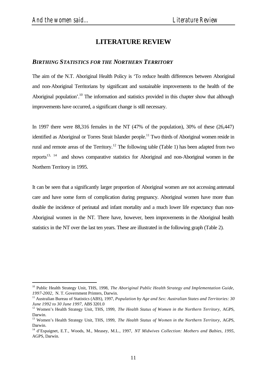# **LITERATURE REVIEW**

#### *BIRTHING STATISTICS FOR THE NORTHERN TERRITORY*

The aim of the N.T. Aboriginal Health Policy is 'To reduce health differences between Aboriginal and non-Aboriginal Territorians by significant and sustainable improvements to the health of the Aboriginal population'.<sup>10</sup> The information and statistics provided in this chapter show that although improvements have occurred, a significant change is still necessary.

In 1997 there were 88,316 females in the NT (47% of the population), 30% of these (26,447) identified as Aboriginal or Torres Strait Islander people.<sup>11</sup> Two thirds of Aboriginal women reside in rural and remote areas of the Territory.<sup>12</sup> The following table (Table 1) has been adapted from two reports<sup>13, 14</sup> and shows comparative statistics for Aboriginal and non-Aboriginal women in the Northern Territory in 1995.

It can be seen that a significantly larger proportion of Aboriginal women are not accessing antenatal care and have some form of complication during pregnancy. Aboriginal women have more than double the incidence of perinatal and infant mortality and a much lower life expectancy than non-Aboriginal women in the NT. There have, however, been improvements in the Aboriginal health statistics in the NT over the last ten years. These are illustrated in the following graph (Table 2).

<sup>&</sup>lt;sup>10</sup> Public Health Strategy Unit, THS, 1998, *The Aboriginal Public Health Strategy and Implementation Guide*, *1997-2002,* N. T. Government Printers, Darwin.

<sup>&</sup>lt;sup>11</sup> Australian Bureau of Statistics (ABS), 1997, *Population by Age and Sex: Australian States and Territories: 30 June 1992 to 30 June 1997,* ABS 3201.0

<sup>&</sup>lt;sup>12</sup> Women's Health Strategy Unit, THS, 1999, *The Health Status of Women in the Northern Territory*, AGPS, Darwin.

<sup>&</sup>lt;sup>13</sup> Women's Health Strategy Unit, THS, 1999, *The Health Status of Women in the Northern Territory*, AGPS, Darwin.

<sup>14</sup> d'Espaignet, E.T., Woods, M., Measey, M.L., 1997, *NT Midwives Collection: Mothers and Babies, 1995,* AGPS, Darwin.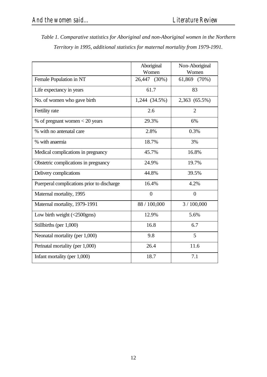| Table 1. Comparative statistics for Aboriginal and non-Aboriginal women in the Northern |
|-----------------------------------------------------------------------------------------|
| Territory in 1995, additional statistics for maternal mortality from 1979-1991.         |

|                                            | Aboriginal<br>Non-Aboriginal |                |
|--------------------------------------------|------------------------------|----------------|
|                                            | Women                        | Women          |
| Female Population in NT                    | 26,447 (30%)                 | 61,869 (70%)   |
| Life expectancy in years                   | 61.7                         | 83             |
| No. of women who gave birth                | 1,244 (34.5%)                | 2,363 (65.5%)  |
| Fertility rate                             | 2.6                          | $\overline{2}$ |
| % of pregnant women $<$ 20 years           | 29.3%                        | 6%             |
| % with no antenatal care                   | 2.8%                         | 0.3%           |
| % with anaemia                             | 18.7%                        | 3%             |
| Medical complications in pregnancy         | 45.7%                        | 16.8%          |
| Obstetric complications in pregnancy       | 24.9%                        | 19.7%          |
| Delivery complications                     | 44.8%                        | 39.5%          |
| Puerperal complications prior to discharge | 16.4%                        | 4.2%           |
| Maternal mortality, 1995                   | $\theta$                     | $\Omega$       |
| Maternal mortality, 1979-1991              | 88 / 100,000                 | 3/100,000      |
| Low birth weight $\langle$ <2500gms)       | 12.9%                        | 5.6%           |
| Stillbirths (per 1,000)                    | 16.8                         | 6.7            |
| Neonatal mortality (per 1,000)             | 9.8                          | 5              |
| Perinatal mortality (per 1,000)            | 26.4                         | 11.6           |
| Infant mortality (per 1,000)               | 18.7                         | 7.1            |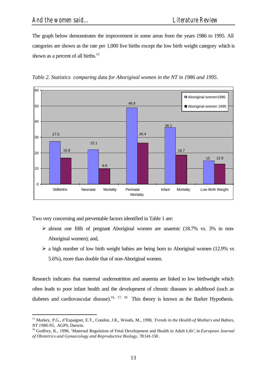The graph below demonstrates the improvement in some areas from the years 1986 to 1995. All categories are shown as the rate per 1,000 live births except the low birth weight category which is shown as a percent of all births.<sup>15</sup>





Two very concerning and preventable factors identified in Table 1 are:

- $\triangleright$  almost one fifth of pregnant Aboriginal women are anaemic (18.7% vs. 3% in non-Aboriginal women); and,
- $\triangleright$  a high number of low birth weight babies are being born to Aboriginal women (12.9% vs 5.6%), more than double that of non-Aboriginal women.

Research indicates that maternal undernutrition and anaemia are linked to low birthweight which often leads to poor infant health and the development of chronic diseases in adulthood (such as diabetes and cardiovascular disease).<sup>16, 17, 18</sup> This theory is known as the Barker Hypothesis.

<sup>15</sup> Markey, P.G., d'Espaignet, E.T., Condon, J.R., Woods, M., 1998, *Trends in the Health of Mothers and Babies, NT 1986-95,* AGPS, Darwin.

<sup>16</sup> Godfrey, K., 1998, 'Maternal Regulation of Fetal Development and Health in Adult Life'*,* in *European Journal of Obstetrics and Gynaecology and Reproductive Biology,* 78:141-150 .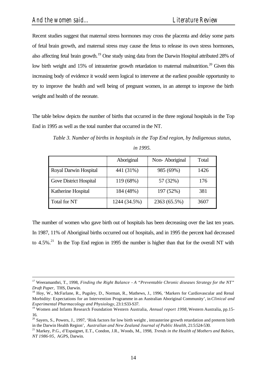Recent studies suggest that maternal stress hormones may cross the placenta and delay some parts of fetal brain growth, and maternal stress may cause the fetus to release its own stress hormones, also affecting fetal brain growth.<sup>19</sup> One study using data from the Darwin Hospital attributed 28% of low birth weight and 15% of intrauterine growth retardation to maternal malnutrition.<sup>20</sup> Given this increasing body of evidence it would seem logical to intervene at the earliest possible opportunity to try to improve the health and well being of pregnant women, in an attempt to improve the birth weight and health of the neonate.

The table below depicts the number of births that occurred in the three regional hospitals in the Top End in 1995 as well as the total number that occurred in the NT.

|                               | Aboriginal   | Non-Aboriginal | Total |
|-------------------------------|--------------|----------------|-------|
| <b>Royal Darwin Hospital</b>  | 441 (31%)    | 985 (69%)      | 1426  |
| <b>Gove District Hospital</b> | 119 (68%)    | 57 (32%)       | 176   |
| <b>Katherine Hospital</b>     | 184 (48%)    | 197 (52%)      | 381   |
| Total for NT                  | 1244 (34.5%) | 2363 (65.5%)   | 3607  |

*Table 3. Number of births in hospitals in the Top End region, by Indigenous status, in 1995.*

The number of women who gave birth out of hospitals has been decreasing over the last ten years. In 1987, 11% of Aboriginal births occurred out of hospitals, and in 1995 the percent had decreased to 4.5%.<sup>21</sup> In the Top End region in 1995 the number is higher than that for the overall NT with

<sup>17</sup> Weeramanthri, T., 1998, *Finding the Right Balance - A "Preventable Chronic diseases Strategy for the NT" Draft Paper,* THS, Darwin.

<sup>&</sup>lt;sup>18</sup> Hoy, W., McFarlane, R., Pugsley, D., Norman, R., Mathews, J., 1996, 'Markers for Cardiovascular and Renal Morbidity: Expectations for an Intervention Programme in an Australian Aboriginal Community', in *Clinical and Experimental Pharmacology and Physiology*, 23:1:S33-S37.

<sup>19</sup> Women and Infants Research Foundation Western Australia, *Annual report 1998,* Western Australia, pp.15- 16.

<sup>&</sup>lt;sup>20</sup> Sayers, S., Powers, J., 1997, 'Risk factors for low birth weight, intrauterine growth retardation and preterm birth in the Darwin Health Region', *Australian and New Zealand Journal of Public Health,* 21:5:524-530.

<sup>21</sup> Markey, P.G., d'Espaignet, E.T., Condon, J.R., Woods, M., 1998, *Trends in the Health of Mothers and Babies, NT 1986-95,* AGPS, Darwin.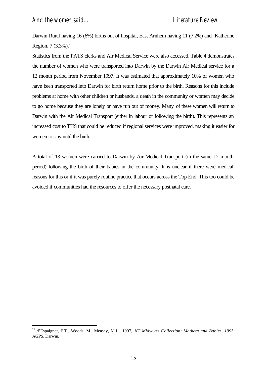Darwin Rural having 16 (6%) births out of hospital, East Arnhem having 11 (7.2%) and Katherine Region,  $7 (3.3\%)$ .<sup>22</sup>

Statistics from the PATS clerks and Air Medical Service were also accessed. Table 4 demonstrates the number of women who were transported into Darwin by the Darwin Air Medical service for a 12 month period from November 1997. It was estimated that approximately 10% of women who have been transported into Darwin for birth return home prior to the birth. Reasons for this include problems at home with other children or husbands, a death in the community or women may decide to go home because they are lonely or have run out of money. Many of these women will return to Darwin with the Air Medical Transport (either in labour or following the birth). This represents an increased cost to THS that could be reduced if regional services were improved, making it easier for women to stay until the birth.

A total of 13 women were carried to Darwin by Air Medical Transport (in the same 12 month period) following the birth of their babies in the community. It is unclear if there were medical reasons for this or if it was purely routine practice that occurs across the Top End. This too could be avoided if communities had the resources to offer the necessary postnatal care.

<sup>22</sup> d'Espaignet, E.T., Woods, M., Measey, M.L., 1997, *NT Midwives Collection: Mothers and Babies, 1995,* AGPS, Darwin.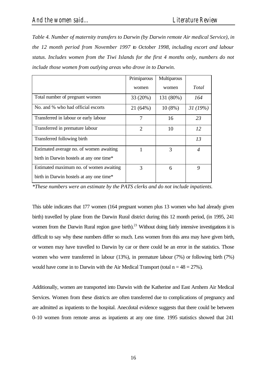*Table 4. Number of maternity transfers to Darwin (by Darwin remote Air medical Service), in the 12 month period from November 1997 to October 1998, including escort and labour status. Includes women from the Tiwi Islands for the first 4 months only, numbers do not include those women from outlying areas who drove in to Darwin.*

|                                          | Primiparous    | Multiparous |         |
|------------------------------------------|----------------|-------------|---------|
|                                          | women          | women       | Total   |
| Total number of pregnant women           | 33 (20%)       | 131 (80%)   | 164     |
| No. and % who had official escorts       | 21 (64%)       | $10(8\%)$   | 31(19%) |
| Transferred in labour or early labour    | 7              | 16          | 23      |
| Transferred in premature labour          | $\overline{2}$ | 10          | 12      |
| Transferred following birth              |                |             | 13      |
| Estimated average no. of women awaiting  |                | 3           | 4       |
| birth in Darwin hostels at any one time* |                |             |         |
| Estimated maximum no. of women awaiting  | 3              | 6           | 9       |
| birth in Darwin hostels at any one time* |                |             |         |

*\*These numbers were an estimate by the PATS clerks and do not include inpatients.*

This table indicates that 177 women (164 pregnant women plus 13 women who had already given birth) travelled by plane from the Darwin Rural district during this 12 month period, (in 1995, 241 women from the Darwin Rural region gave birth).<sup>23</sup> Without doing fairly intensive investigations it is difficult to say why these numbers differ so much. Less women from this area may have given birth, or women may have travelled to Darwin by car or there could be an error in the statistics. Those women who were transferred in labour (13%), in premature labour (7%) or following birth (7%) would have come in to Darwin with the Air Medical Transport (total  $n = 48 = 27\%$ ).

Additionally, women are transported into Darwin with the Katherine and East Arnhem Air Medical Services. Women from these districts are often transferred due to complications of pregnancy and are admitted as inpatients to the hospital. Anecdotal evidence suggests that there could be between 0-10 women from remote areas as inpatients at any one time. 1995 statistics showed that 241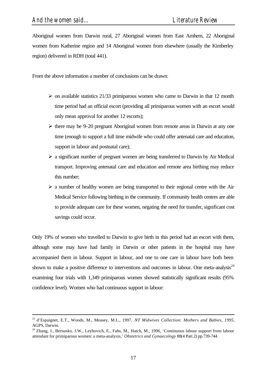Aboriginal women from Darwin rural, 27 Aboriginal women from East Arnhem, 22 Aboriginal women from Katherine region and 14 Aboriginal women from elsewhere (usually the Kimberley region) delivered in RDH (total 441).

From the above information a number of conclusions can be drawn:

- $\triangleright$  on available statistics 21/33 primiparous women who came to Darwin in that 12 month time period had an official escort (providing all primiparous women with an escort would only mean approval for another 12 escorts);
- $\triangleright$  there may be 9-20 pregnant Aboriginal women from remote areas in Darwin at any one time (enough to support a full time midwife who could offer antenatal care and education, support in labour and postnatal care);
- $\triangleright$  a significant number of pregnant women are being transferred to Darwin by Air Medical transport. Improving antenatal care and education and remote area birthing may reduce this number;
- $\triangleright$  a number of healthy women are being transported to their regional centre with the Air Medical Service following birthing in the community. If community health centres are able to provide adequate care for these women, negating the need for transfer, significant cost savings could occur.

Only 19% of women who travelled to Darwin to give birth in this period had an escort with them, although some may have had family in Darwin or other patients in the hospital may have accompanied them in labour. Support in labour, and one to one care in labour have both been shown to make a positive difference to interventions and outcomes in labour. One meta-analysis<sup>24</sup> examining four trials with 1,349 primiparous women showed statistically significant results (95% confidence level). Women who had continuous support in labour:

<sup>23</sup> d'Espaignet, E.T., Woods, M., Measey, M.L., 1997, *NT Midwives Collection: Mothers and Babies, 1995,* AGPS, Darwin.

<sup>&</sup>lt;sup>24</sup> Zhang, J., Bernasko, J.W., Leybovich, E., Fahs, M., Hatch, M., 1996, 'Continuous labour support from labour attendant for primiparous women: a meta-analysis,' *Obstetrics and Gynaecology* 88(4 Part 2) pp.739-744.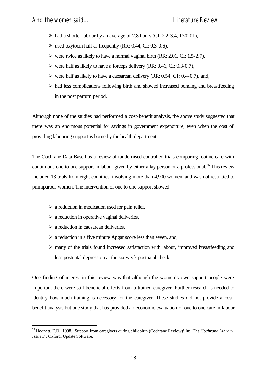- $\triangleright$  had a shorter labour by an average of 2.8 hours (CI: 2.2-3.4, P<0.01),
- $\triangleright$  used oxytocin half as frequently (RR: 0.44, CI: 0.3-0.6),
- $\triangleright$  were twice as likely to have a normal vaginal birth (RR: 2.01, CI: 1.5-2.7),
- $\triangleright$  were half as likely to have a forceps delivery (RR: 0.46, CI: 0.3-0.7),
- $\triangleright$  were half as likely to have a caesarean delivery (RR: 0.54, CI: 0.4-0.7), and,
- $\triangleright$  had less complications following birth and showed increased bonding and breastfeeding in the post partum period.

Although none of the studies had performed a cost-benefit analysis, the above study suggested that there was an enormous potential for savings in government expenditure, even when the cost of providing labouring support is borne by the health department.

The Cochrane Data Base has a review of randomised controlled trials comparing routine care with continuous one to one support in labour given by either a lay person or a professional.<sup>25</sup> This review included 13 trials from eight countries, involving more than 4,900 women, and was not restricted to primiparous women. The intervention of one to one support showed:

- $\triangleright$  a reduction in medication used for pain relief,
- $\triangleright$  a reduction in operative vaginal deliveries,
- $\triangleright$  a reduction in caesarean deliveries,

l

- $\triangleright$  a reduction in a five minute Apgar score less than seven, and,
- $\triangleright$  many of the trials found increased satisfaction with labour, improved breastfeeding and less postnatal depression at the six week postnatal check.

One finding of interest in this review was that although the women's own support people were important there were still beneficial effects from a trained caregiver. Further research is needed to identify how much training is necessary for the caregiver. These studies did not provide a costbenefit analysis but one study that has provided an economic evaluation of one to one care in labour

<sup>25</sup> Hodnett, E.D., 1998, 'Support from caregivers during childbirth (Cochrane Review)' In: '*The Cochrane Library, Issue 3'*, Oxford: Update Software.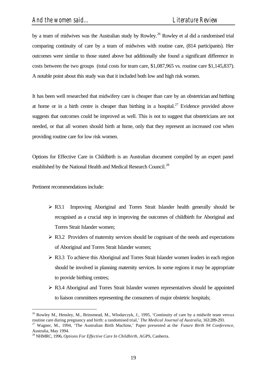by a team of midwives was the Australian study by Rowley.<sup>26</sup> Rowley et al did a randomised trial comparing continuity of care by a team of midwives with routine care, (814 participants). Her outcomes were similar to those stated above but additionally she found a significant difference in costs between the two groups (total costs for team care, \$1,087,965 vs. routine care \$1,145,837). A notable point about this study was that it included both low and high risk women.

It has been well researched that midwifery care is cheaper than care by an obstetrician and birthing at home or in a birth centre is cheaper than birthing in a hospital.<sup>27</sup> Evidence provided above suggests that outcomes could be improved as well. This is not to suggest that obstetricians are not needed, or that all women should birth at home, only that they represent an increased cost when providing routine care for low risk women.

Options for Effective Care in Childbirth is an Australian document compiled by an expert panel established by the National Health and Medical Research Council.<sup>28</sup>

Pertinent recommendations include:

l

- $\triangleright$  R3.1 Improving Aboriginal and Torres Strait Islander health generally should be recognised as a crucial step in improving the outcomes of childbirth for Aboriginal and Torres Strait Islander women;
- $\triangleright$  R3.2 Providers of maternity services should be cognisant of the needs and expectations of Aboriginal and Torres Strait Islander women;
- $\triangleright$  R3.3 To achieve this Aboriginal and Torres Strait Islander women leaders in each region should be involved in planning maternity services. In some regions it may be appropriate to provide birthing centres;
- $\triangleright$  R3.4 Aboriginal and Torres Strait Islander women representatives should be appointed to liaison committees representing the consumers of major obstetric hospitals;

<sup>&</sup>lt;sup>26</sup> Rowley M., Hensley, M., Brinsmead, M., Wlodarczyk, J., 1995, 'Continuity of care by a midwife team versus routine care during pregnancy and birth: a randomised trial,' *The Medical Journal of Australia*, 163:289-293.

<sup>27</sup> Wagner, M., 1994, 'The Australian Birth Machine,' Paper presented at the *Future Birth 94 Conference,* Australia, May 1994.

<sup>28</sup> NHMRC, 1996, *Options For Effective Care In Childbirth,* AGPS, Canberra.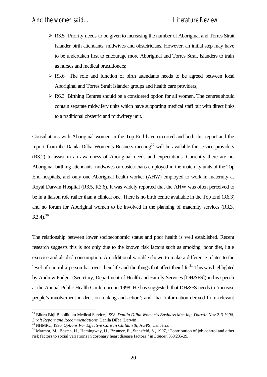- $\triangleright$  R3.5 Priority needs to be given to increasing the number of Aboriginal and Torres Strait Islander birth attendants, midwives and obstetricians. However, an initial step may have to be undertaken first to encourage more Aboriginal and Torres Strait Islanders to train as nurses and medical practitioners;
- $\triangleright$  R3.6 The role and function of birth attendants needs to be agreed between local Aboriginal and Torres Strait Islander groups and health care providers;
- $\triangleright$  R6.3 Birthing Centres should be a considered option for all women. The centres should contain separate midwifery units which have supporting medical staff but with direct links to a traditional obstetric and midwifery unit.

Consultations with Aboriginal women in the Top End have occurred and both this report and the report from the Danila Dilba Women's Business meeting<sup>29</sup> will be available for service providers (R3.2) to assist in an awareness of Aboriginal needs and expectations. Currently there are no Aboriginal birthing attendants, midwives or obstetricians employed in the maternity units of the Top End hospitals, and only one Aboriginal health worker (AHW) employed to work in maternity at Royal Darwin Hospital (R3.5, R3.6). It was widely reported that the AHW was often perceived to be in a liaison role rather than a clinical one. There is no birth centre available in the Top End (R6.3) and no forum for Aboriginal women to be involved in the planning of maternity services (R3.3,  $R3.4$ ).  $30$ 

The relationship between lower socioeconomic status and poor health is well established. Recent research suggests this is not only due to the known risk factors such as smoking, poor diet, little exercise and alcohol consumption. An additional variable shown to make a difference relates to the level of control a person has over their life and the things that affect their life.<sup>31</sup> This was highlighted by Andrew Podger (Secretary, Department of Health and Family Services [DH&FS]) in his speech at the Annual Public Health Conference in 1998. He has suggested: that DH&FS needs to 'increase people's involvement in decision making and action'; and, that 'information derived from relevant

l

<sup>29</sup> Biluru Bitji Binnilitlum Medical Service, 1998, *Danila Dilba Women's Business Meeting, Darwin Nov 2-3 1998, Draft Report and Recommendations*, Danila Dilba, Darwin.

<sup>30</sup> NHMRC, 1996, *Options For Effective Care In Childbirth,* AGPS, Canberra.

<sup>&</sup>lt;sup>31</sup> Marmot, M., Bosma, H., Hemingway, H., Brunner, E., Stansfeld, S., 1997, 'Contribution of job control and other risk factors to social variations in coronary heart disease factors*,'* in *Lancet*, 350:235-39.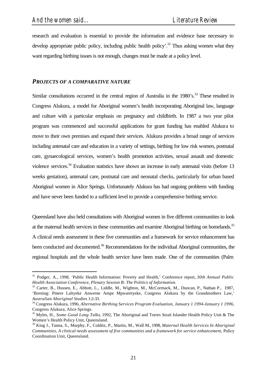research and evaluation is essential to provide the information and evidence base necessary to develop appropriate public policy, including public health policy'.<sup>32</sup> Thus asking women what they want regarding birthing issues is not enough, changes must be made at a policy level.

#### *PROJECTS OF A COMPARATIVE NATURE*

Similar consultations occurred in the central region of Australia in the  $1980$ 's.<sup>33</sup> These resulted in Congress Alukura, a model for Aboriginal women's health incorporating Aboriginal law, language and culture with a particular emphasis on pregnancy and childbirth. In 1987 a two year pilot program was commenced and successful applications for grant funding has enabled Alukura to move to their own premises and expand their services. Alukura provides a broad range of services including antenatal care and education in a variety of settings, birthing for low risk women, postnatal care, gynaecological services, women's health promotion activities, sexual assault and domestic violence services.<sup>34</sup> Evaluation statistics have shown an increase in early antenatal visits (before 13 weeks gestation), antenatal care, postnatal care and neonatal checks, particularly for urban based Aboriginal women in Alice Springs. Unfortunately Alukura has had ongoing problems with funding and have never been funded to a sufficient level to provide a comprehensive birthing service.

Queensland have also held consultations with Aboriginal women in five different communities to look at the maternal health services in these communities and examine Aboriginal birthing on homelands.<sup>35</sup> A clinical needs assessment in these five communities and a framework for service enhancement has been conducted and documented.<sup>36</sup> Recommendations for the individual Aboriginal communities, the regional hospitals and the whole health service have been made. One of the communities (Palm

<sup>32</sup> Podger, A., 1998, 'Public Health Information: Poverty and Health,' Conference report, *30th Annual Public Health Association Conference, Plenary Session B: The Politics of Information.*

<sup>&</sup>lt;sup>33</sup> Carter, B., Hussen, E., Abbott, L., Liddle, M., Wighton, M., McCormack, M., Duncan, P., Nathan P., 1987, 'Borning: Pmere Laltyeke Anwerne Ampe Mpwaretyeke, Congress Alukura by the Grandmothers Law,' *Australian Aboriginal Studies* 1:2-33.

<sup>34</sup> Congress Alukura, 1996, *Alternative Birthing Services Program Evaluation, January 1 1994-January 1 1996,*  Congress Alukura, Alice Springs.

<sup>35</sup> Myles, H., *Some Good Long Talks*, 1992, The Aboriginal and Torres Strait Islander Health Policy Unit & The Women's Health Policy Unit, Queensland.

<sup>36</sup> King J., Tanna, S., Murphy, F., Colditz, P., Martin, M., Wall M., 1998, *Maternal Health Services In Aboriginal Communities, A clinical needs assessment of five communities and a framework for service enhancement,* Policy Coordination Unit, Queensland.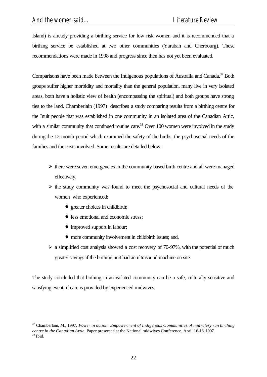Island) is already providing a birthing service for low risk women and it is recommended that a birthing service be established at two other communities (Yarabah and Cherbourg). These recommendations were made in 1998 and progress since then has not yet been evaluated.

Comparisons have been made between the Indigenous populations of Australia and Canada.<sup>37</sup> Both groups suffer higher morbidity and mortality than the general population, many live in very isolated areas, both have a holistic view of health (encompassing the spiritual) and both groups have strong ties to the land. Chamberlain (1997) describes a study comparing results from a birthing centre for the Inuit people that was established in one community in an isolated area of the Canadian Artic, with a similar community that continued routine care.<sup>38</sup> Over 100 women were involved in the study during the 12 month period which examined the safety of the births, the psychosocial needs of the families and the costs involved. Some results are detailed below:

- $\triangleright$  there were seven emergencies in the community based birth centre and all were managed effectively,
- $\triangleright$  the study community was found to meet the psychosocial and cultural needs of the women who experienced:
	- ♦ greater choices in childbirth;
	- less emotional and economic stress;
	- ♦ improved support in labour;

l

- ♦ more community involvement in childbirth issues; and,
- $\geq$  a simplified cost analysis showed a cost recovery of 70-97%, with the potential of much greater savings if the birthing unit had an ultrasound machine on site.

The study concluded that birthing in an isolated community can be a safe, culturally sensitive and satisfying event, if care is provided by experienced midwives.

<sup>37</sup> Chamberlain, M., 1997, *Power in action: Empowerment of Indigenous Communities. A midwifery run birthing centre in the Canadian Artic,* Paper presented at the National midwives Conference, April 16-18, 1997.  $38$  Ibid.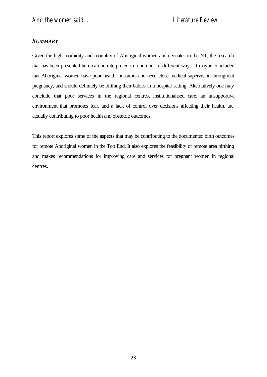#### *SUMMARY*

Given the high morbidity and mortality of Aboriginal women and neonates in the NT, the research that has been presented here can be interpreted in a number of different ways. It maybe concluded that Aboriginal women have poor health indicators and need close medical supervision throughout pregnancy, and should definitely be birthing their babies in a hospital setting. Alternatively one may conclude that poor services in the regional centres, institutionalised care, an unsupportive environment that promotes fear, and a lack of control over decisions affecting their health, are actually contributing to poor health and obstetric outcomes.

This report explores some of the aspects that may be contributing to the documented birth outcomes for remote Aboriginal women in the Top End. It also explores the feasibility of remote area birthing and makes recommendations for improving care and services for pregnant women in regional centres.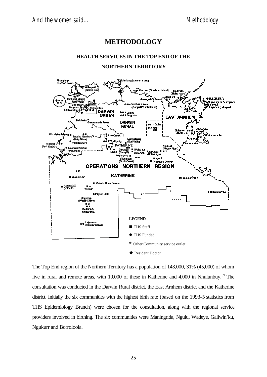# **METHODOLOGY**

#### **HEALTH SERVICES IN THE TOP END OF THE**

#### **NORTHERN TERRITORY**



The Top End region of the Northern Territory has a population of 143,000, 31% (45,000) of whom live in rural and remote areas, with 10,000 of these in Katherine and 4,000 in Nhulunbuy.<sup>39</sup> The consultation was conducted in the Darwin Rural district, the East Arnhem district and the Katherine district. Initially the six communities with the highest birth rate (based on the 1993-5 statistics from THS Epidemiology Branch) were chosen for the consultation, along with the regional service providers involved in birthing. The six communities were Maningrida, Nguiu, Wadeye, Galiwin'ku, Ngukurr and Borroloola.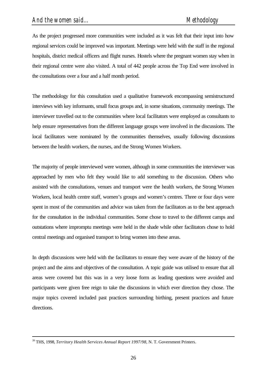As the project progressed more communities were included as it was felt that their input into how regional services could be improved was important. Meetings were held with the staff in the regional hospitals, district medical officers and flight nurses. Hostels where the pregnant women stay when in their regional centre were also visited. A total of 442 people across the Top End were involved in the consultations over a four and a half month period.

The methodology for this consultation used a qualitative framework encompassing semistructured interviews with key informants, small focus groups and, in some situations, community meetings. The interviewer travelled out to the communities where local facilitators were employed as consultants to help ensure representatives from the different language groups were involved in the discussions. The local facilitators were nominated by the communities themselves, usually following discussions between the health workers, the nurses, and the Strong Women Workers.

The majority of people interviewed were women, although in some communities the interviewer was approached by men who felt they would like to add something to the discussion. Others who assisted with the consultations, venues and transport were the health workers, the Strong Women Workers, local health centre staff, women's groups and women's centres. Three or four days were spent in most of the communities and advice was taken from the facilitators as to the best approach for the consultation in the individual communities. Some chose to travel to the different camps and outstations where impromptu meetings were held in the shade while other facilitators chose to hold central meetings and organised transport to bring women into these areas.

In depth discussions were held with the facilitators to ensure they were aware of the history of the project and the aims and objectives of the consultation. A topic guide was utilised to ensure that all areas were covered but this was in a very loose form as leading questions were avoided and participants were given free reign to take the discussions in which ever direction they chose. The major topics covered included past practices surrounding birthing, present practices and future directions.

l

<sup>39</sup> THS, 1998, *Territory Health Services Annual Report 1997/98,* N. T. Government Printers.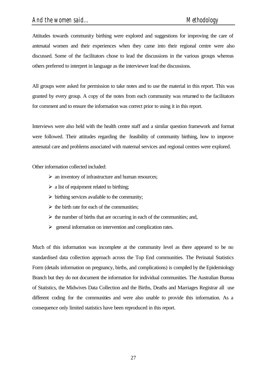Attitudes towards community birthing were explored and suggestions for improving the care of antenatal women and their experiences when they came into their regional centre were also discussed. Some of the facilitators chose to lead the discussions in the various groups whereas others preferred to interpret in language as the interviewer lead the discussions.

All groups were asked for permission to take notes and to use the material in this report. This was granted by every group. A copy of the notes from each community was returned to the facilitators for comment and to ensure the information was correct prior to using it in this report.

Interviews were also held with the health centre staff and a similar question framework and format were followed. Their attitudes regarding the feasibility of community birthing, how to improve antenatal care and problems associated with maternal services and regional centres were explored.

Other information collected included:

- $\triangleright$  an inventory of infrastructure and human resources;
- $\triangleright$  a list of equipment related to birthing;
- $\triangleright$  birthing services available to the community;
- $\triangleright$  the birth rate for each of the communities;
- $\triangleright$  the number of births that are occurring in each of the communities; and,
- $\geq$  general information on intervention and complication rates.

Much of this information was incomplete at the community level as there appeared to be no standardised data collection approach across the Top End communities. The Perinatal Statistics Form (details information on pregnancy, births, and complications) is compiled by the Epidemiology Branch but they do not document the information for individual communities. The Australian Bureau of Statistics, the Midwives Data Collection and the Births, Deaths and Marriages Registrar all use different coding for the communities and were also unable to provide this information. As a consequence only limited statistics have been reproduced in this report.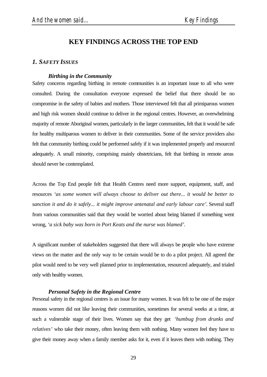### **KEY FINDINGS ACROSS THE TOP END**

#### *1. SAFETY ISSUES*

#### *Birthing in the Community*

Safety concerns regarding birthing in remote communities is an important issue to all who were consulted. During the consultation everyone expressed the belief that there should be no compromise in the safety of babies and mothers. Those interviewed felt that all primiparous women and high risk women should continue to deliver in the regional centres. However, an overwhelming majority of remote Aboriginal women, particularly in the larger communities, felt that it would be safe for healthy multiparous women to deliver in their communities. Some of the service providers also felt that community birthing could be performed safely if it was implemented properly and resourced adequately. A small minority, comprising mainly obstetricians, felt that birthing in remote areas should never be contemplated.

Across the Top End people felt that Health Centres need more support, equipment, staff, and resources *'as some women will always choose to deliver out there... it would be better to sanction it and do it safely... it might improve antenatal and early labour care'*. Several staff from various communities said that they would be worried about being blamed if something went wrong, *'a sick baby was born in Port Keats and the nurse was blamed'.*

A significant number of stakeholders suggested that there will always be people who have extreme views on the matter and the only way to be certain would be to do a pilot project. All agreed the pilot would need to be very well planned prior to implementation, resourced adequately, and trialed only with healthy women.

#### *Personal Safety in the Regional Centre*

Personal safety in the regional centres is an issue for many women. It was felt to be one of the major reasons women did not like leaving their communities, sometimes for several weeks at a time, at such a vulnerable stage of their lives. Women say that they get *'humbug from drunks and relatives'* who take their money, often leaving them with nothing. Many women feel they have to give their money away when a family member asks for it, even if it leaves them with nothing. They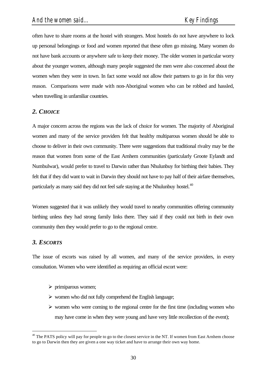often have to share rooms at the hostel with strangers. Most hostels do not have anywhere to lock up personal belongings or food and women reported that these often go missing. Many women do not have bank accounts or anywhere safe to keep their money. The older women in particular worry about the younger women, although many people suggested the men were also concerned about the women when they were in town. In fact some would not allow their partners to go in for this very reason. Comparisons were made with non-Aboriginal women who can be robbed and hassled, when travelling in unfamiliar countries.

#### *2. CHOICE*

A major concern across the regions was the lack of choice for women. The majority of Aboriginal women and many of the service providers felt that healthy multiparous women should be able to choose to deliver in their own community. There were suggestions that traditional rivalry may be the reason that women from some of the East Arnhem communities (particularly Groote Eylandt and Numbulwar), would prefer to travel to Darwin rather than Nhulunbuy for birthing their babies. They felt that if they did want to wait in Darwin they should not have to pay half of their airfare themselves, particularly as many said they did not feel safe staying at the Nhulunbuy hostel.<sup>40</sup>

Women suggested that it was unlikely they would travel to nearby communities offering community birthing unless they had strong family links there. They said if they could not birth in their own community then they would prefer to go to the regional centre.

#### *3. ESCORTS*

l

The issue of escorts was raised by all women, and many of the service providers, in every consultation. Women who were identified as requiring an official escort were:

- $\triangleright$  primiparous women;
- $\triangleright$  women who did not fully comprehend the English language;
- $\triangleright$  women who were coming to the regional centre for the first time (including women who may have come in when they were young and have very little recollection of the event);

 $40$  The PATS policy will pay for people to go to the closest service in the NT. If women from East Arnhem choose to go to Darwin then they are given a one way ticket and have to arrange their own way home.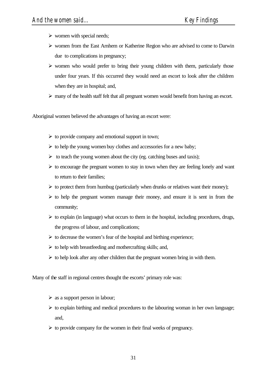- $\triangleright$  women with special needs;
- $\triangleright$  women from the East Arnhem or Katherine Region who are advised to come to Darwin due to complications in pregnancy;
- $\triangleright$  women who would prefer to bring their young children with them, particularly those under four years. If this occurred they would need an escort to look after the children when they are in hospital; and,
- $\triangleright$  many of the health staff felt that all pregnant women would benefit from having an escort.

Aboriginal women believed the advantages of having an escort were:

- $\triangleright$  to provide company and emotional support in town;
- $\triangleright$  to help the young women buy clothes and accessories for a new baby;
- $\triangleright$  to teach the young women about the city (eg. catching buses and taxis);
- $\triangleright$  to encourage the pregnant women to stay in town when they are feeling lonely and want to return to their families;
- $\triangleright$  to protect them from humbug (particularly when drunks or relatives want their money);
- $\triangleright$  to help the pregnant women manage their money, and ensure it is sent in from the community;
- $\triangleright$  to explain (in language) what occurs to them in the hospital, including procedures, drugs, the progress of labour, and complications;
- $\triangleright$  to decrease the women's fear of the hospital and birthing experience;
- $\triangleright$  to help with breastfeeding and mothercrafting skills; and,
- $\triangleright$  to help look after any other children that the pregnant women bring in with them.

Many of the staff in regional centres thought the escorts' primary role was:

- $\triangleright$  as a support person in labour;
- $\triangleright$  to explain birthing and medical procedures to the labouring woman in her own language; and,
- $\triangleright$  to provide company for the women in their final weeks of pregnancy.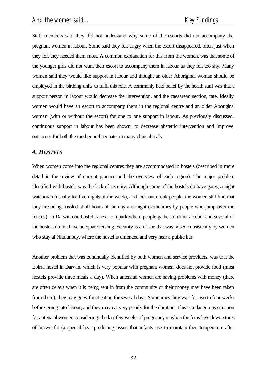Staff members said they did not understand why some of the escorts did not accompany the pregnant women in labour. Some said they felt angry when the escort disappeared, often just when they felt they needed them most. A common explanation for this from the women, was that some of the younger girls did not want their escort to accompany them in labour as they felt too shy. Many women said they would like support in labour and thought an older Aboriginal woman should be employed in the birthing units to fulfil this role. A commonly held belief by the health staff was that a support person in labour would decrease the intervention, and the caesarean section, rate. Ideally women would have an escort to accompany them in the regional centre and an older Aboriginal woman (with or without the escort) for one to one support in labour. As previously discussed, continuous support in labour has been shown; to decrease obstetric intervention and improve outcomes for both the mother and neonate, in many clinical trials.

## *4. HOSTELS*

When women come into the regional centres they are accommodated in hostels (described in more detail in the review of current practice and the overview of each region). The major problem identified with hostels was the lack of security. Although some of the hostels do have gates, a night watchman (usually for five nights of the week), and lock out drunk people, the women still find that they are being hassled at all hours of the day and night (sometimes by people who jump over the fences). In Darwin one hostel is next to a park where people gather to drink alcohol and several of the hostels do not have adequate fencing. Security is an issue that was raised consistently by women who stay at Nhulunbuy, where the hostel is unfenced and very near a public bar.

Another problem that was continually identified by both women and service providers, was that the Ebirra hostel in Darwin, which is very popular with pregnant women, does not provide food (most hostels provide three meals a day). When antenatal women are having problems with money (there are often delays when it is being sent in from the community or their money may have been taken from them), they may go without eating for several days. Sometimes they wait for two to four weeks before going into labour, and they may eat very poorly for the duration. This is a dangerous situation for antenatal women considering: the last few weeks of pregnancy is when the fetus lays down stores of brown fat (a special heat producing tissue that infants use to maintain their temperature after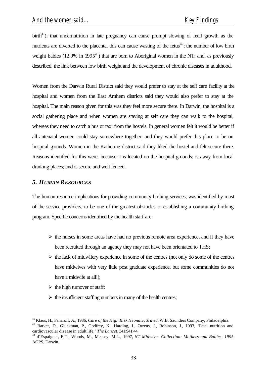birth<sup>41</sup>); that undernutrition in late pregnancy can cause prompt slowing of fetal growth as the nutrients are diverted to the placenta, this can cause wasting of the fetus $42$ ; the number of low birth weight babies (12.9% in 1995 $43$ ) that are born to Aboriginal women in the NT; and, as previously described, the link between low birth weight and the development of chronic diseases in adulthood.

Women from the Darwin Rural District said they would prefer to stay at the self care facility at the hospital and women from the East Arnhem districts said they would also prefer to stay at the hospital. The main reason given for this was they feel more secure there. In Darwin, the hospital is a social gathering place and when women are staying at self care they can walk to the hospital, whereas they need to catch a bus or taxi from the hostels. In general women felt it would be better if all antenatal women could stay somewhere together, and they would prefer this place to be on hospital grounds. Women in the Katherine district said they liked the hostel and felt secure there. Reasons identified for this were: because it is located on the hospital grounds; is away from local drinking places; and is secure and well fenced.

## *5. HUMAN RESOURCES*

The human resource implications for providing community birthing services, was identified by most of the service providers, to be one of the greatest obstacles to establishing a community birthing program. Specific concerns identified by the health staff are:

- $\triangleright$  the nurses in some areas have had no previous remote area experience, and if they have been recruited through an agency they may not have been orientated to THS;
- $\triangleright$  the lack of midwifery experience in some of the centres (not only do some of the centres have midwives with very little post graduate experience, but some communities do not have a midwife at all!);
- $\triangleright$  the high turnover of staff;

l

 $\triangleright$  the insufficient staffing numbers in many of the health centres;

<sup>41</sup> Klaus, H., Fanaroff, A., 1986, *Care of the High Risk Neonate, 3rd ed,* W.B. Saunders Company, Philadelphia.

<sup>&</sup>lt;sup>42</sup> Barker, D., Gluckman, P., Godfrey, K., Harding, J., Owens, J., Robinson, J., 1993, 'Fetal nutrition and cardiovascular disease in adult life,' *The Lancet*, 341:941:44.

<sup>43</sup> d'Espaignet, E.T., Woods, M., Measey, M.L., 1997, *NT Midwives Collection: Mothers and Babies, 1995,* AGPS, Darwin.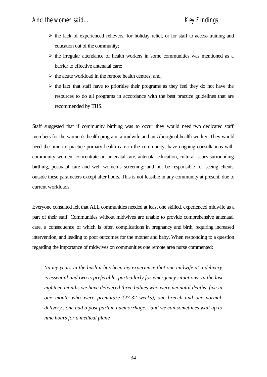- $\triangleright$  the lack of experienced relievers, for holiday relief, or for staff to access training and education out of the community;
- $\triangleright$  the irregular attendance of health workers in some communities was mentioned as a barrier to effective antenatal care;
- $\triangleright$  the acute workload in the remote health centres; and,
- $\triangleright$  the fact that staff have to prioritise their programs as they feel they do not have the resources to do all programs in accordance with the best practice guidelines that are recommended by THS.

Staff suggested that if community birthing was to occur they would need two dedicated staff members for the women's health program, a midwife and an Aboriginal health worker. They would need the time to: practice primary health care in the community; have ongoing consultations with community women; concentrate on antenatal care, antenatal education, cultural issues surrounding birthing, postnatal care and well women's screening; and not be responsible for seeing clients outside these parameters except after hours. This is not feasible in any community at present, due to current workloads.

Everyone consulted felt that ALL communities needed at least one skilled, experienced midwife as a part of their staff. Communities without midwives are unable to provide comprehensive antenatal care, a consequence of which is often complications in pregnancy and birth, requiring increased intervention, and leading to poor outcomes for the mother and baby. When responding to a question regarding the importance of midwives on communities one remote area nurse commented:

*'in my years in the bush it has been my experience that one midwife at a delivery is essential and two is preferable, particularly for emergency situations. In the last eighteen months we have delivered three babies who were neonatal deaths, five in one month who were premature (27-32 weeks), one breech and one normal delivery...one had a post partum haemorrhage... and we can sometimes wait up to nine hours for a medical plane'.*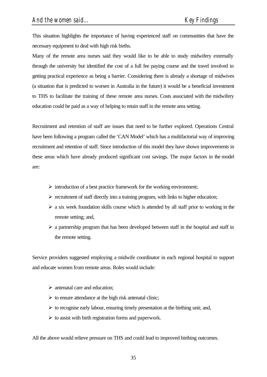This situation highlights the importance of having experienced staff on communities that have the necessary equipment to deal with high risk births.

Many of the remote area nurses said they would like to be able to study midwifery externally through the university but identified the cost of a full fee paying course and the travel involved in getting practical experience as being a barrier. Considering there is already a shortage of midwives (a situation that is predicted to worsen in Australia in the future) it would be a beneficial investment to THS to facilitate the training of these remote area nurses. Costs associated with the midwifery education could be paid as a way of helping to retain staff in the remote area setting.

Recruitment and retention of staff are issues that need to be further explored. Operations Central have been following a program called the 'CAN Model' which has a multifactorial way of improving recruitment and retention of staff. Since introduction of this model they have shown improvements in these areas which have already produced significant cost savings. The major factors in the model are:

- $\triangleright$  introduction of a best practice framework for the working environment;
- $\triangleright$  recruitment of staff directly into a training program, with links to higher education;
- $\triangleright$  a six week foundation skills course which is attended by all staff prior to working in the remote setting; and,
- $\triangleright$  a partnership program that has been developed between staff in the hospital and staff in the remote setting.

Service providers suggested employing a midwife coordinator in each regional hospital to support and educate women from remote areas. Roles would include:

- $\triangleright$  antenatal care and education;
- $\triangleright$  to ensure attendance at the high risk antenatal clinic;
- $\triangleright$  to recognise early labour, ensuring timely presentation at the birthing unit; and,
- $\triangleright$  to assist with birth registration forms and paperwork.

All the above would relieve pressure on THS and could lead to improved birthing outcomes.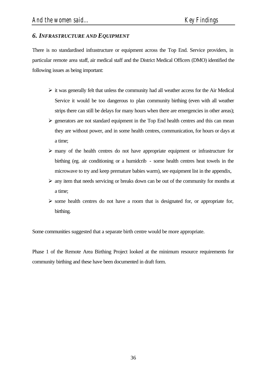# *6. INFRASTRUCTURE AND EQUIPMENT*

There is no standardised infrastructure or equipment across the Top End. Service providers, in particular remote area staff, air medical staff and the District Medical Officers (DMO) identified the following issues as being important:

- $\triangleright$  it was generally felt that unless the community had all weather access for the Air Medical Service it would be too dangerous to plan community birthing (even with all weather strips there can still be delays for many hours when there are emergencies in other areas);
- $\geq$  generators are not standard equipment in the Top End health centres and this can mean they are without power, and in some health centres, communication, for hours or days at a time;
- $\triangleright$  many of the health centres do not have appropriate equipment or infrastructure for birthing (eg. air conditioning or a humidcrib - some health centres heat towels in the microwave to try and keep premature babies warm), see equipment list in the appendix,
- $\triangleright$  any item that needs servicing or breaks down can be out of the community for months at a time;
- $\triangleright$  some health centres do not have a room that is designated for, or appropriate for, birthing.

Some communities suggested that a separate birth centre would be more appropriate.

Phase 1 of the Remote Area Birthing Project looked at the minimum resource requirements for community birthing and these have been documented in draft form.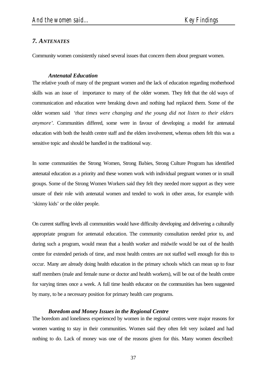## *7. ANTENATES*

Community women consistently raised several issues that concern them about pregnant women.

#### *Antenatal Education*

The relative youth of many of the pregnant women and the lack of education regarding motherhood skills was an issue of importance to many of the older women. They felt that the old ways of communication and education were breaking down and nothing had replaced them. Some of the older women said *'that times were changing and the young did not listen to their elders anymore'.* Communities differed, some were in favour of developing a model for antenatal education with both the health centre staff and the elders involvement, whereas others felt this was a sensitive topic and should be handled in the traditional way.

In some communities the Strong Women, Strong Babies, Strong Culture Program has identified antenatal education as a priority and these women work with individual pregnant women or in small groups. Some of the Strong Women Workers said they felt they needed more support as they were unsure of their role with antenatal women and tended to work in other areas, for example with 'skinny kids' or the older people.

On current staffing levels all communities would have difficulty developing and delivering a culturally appropriate program for antenatal education. The community consultation needed prior to, and during such a program, would mean that a health worker and midwife would be out of the health centre for extended periods of time, and most health centres are not staffed well enough for this to occur. Many are already doing health education in the primary schools which can mean up to four staff members (male and female nurse or doctor and health workers), will be out of the health centre for varying times once a week. A full time health educator on the communities has been suggested by many, to be a necessary position for primary health care programs.

#### *Boredom and Money Issues in the Regional Centre*

The boredom and loneliness experienced by women in the regional centres were major reasons for women wanting to stay in their communities. Women said they often felt very isolated and had nothing to do. Lack of money was one of the reasons given for this. Many women described: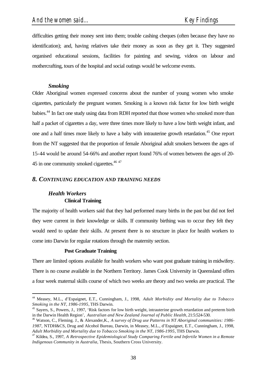difficulties getting their money sent into them; trouble cashing cheques (often because they have no identification); and, having relatives take their money as soon as they get it. They suggested organised educational sessions, facilities for painting and sewing, videos on labour and mothercrafting, tours of the hospital and social outings would be welcome events.

### *Smoking*

Older Aboriginal women expressed concerns about the number of young women who smoke cigarettes, particularly the pregnant women. Smoking is a known risk factor for low birth weight babies.<sup>44</sup> In fact one study using data from RDH reported that those women who smoked more than half a packet of cigarettes a day, were three times more likely to have a low birth weight infant, and one and a half times more likely to have a baby with intrauterine growth retardation.<sup>45</sup> One report from the NT suggested that the proportion of female Aboriginal adult smokers between the ages of 15-44 would be around 54-66% and another report found 76% of women between the ages of 20- 45 in one community smoked cigarettes.<sup>46 47</sup>

### *8. CONTINUING EDUCATION AND TRAINING NEEDS*

# *Health Workers* **Clinical Training**

l

The majority of health workers said that they had performed many births in the past but did not feel they were current in their knowledge or skills. If community birthing was to occur they felt they would need to update their skills. At present there is no structure in place for health workers to come into Darwin for regular rotations through the maternity section.

#### **Post Graduate Training**

There are limited options available for health workers who want post graduate training in midwifery. There is no course available in the Northern Territory. James Cook University in Queensland offers a four week maternal skills course of which two weeks are theory and two weeks are practical. The

<sup>44</sup> Measey, M.L., d'Espaignet, E.T., Cunningham, J., 1998, *Adult Morbidity and Mortality due to Tobacco Smoking in the NT, 1986-1995,* THS Darwin.

<sup>&</sup>lt;sup>45</sup> Sayers, S., Powers, J., 1997, 'Risk factors for low birth weight, intrauterine growth retardation and preterm birth in the Darwin Health Region', *Australian and New Zealand Journal of Public Health,* 21:5:524-530.

<sup>46</sup> Watson, C., Fleming. J., & Alexander,K., *A survey of Drug use Patterns in NT Aboriginal communities: 1986- 1987,* NTDH&CS, Drug and Alcohol Bureau, Darwin, in Measey, M.L., d'Espaignet, E.T., Cunningham, J., 1998, *Adult Morbidity and Mortality due to Tobacco Smoking in the NT, 1986-1995,* THS Darwin.

<sup>47</sup> Kildea, S., 1997, *A Retrospective Epidemiological Study Comparing Fertile and Infertile Women in a Remote Indigenous Community in Australia,* Thesis, Southern Cross University.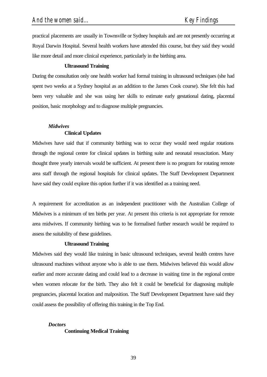practical placements are usually in Townsville or Sydney hospitals and are not presently occurring at Royal Darwin Hospital. Several health workers have attended this course, but they said they would like more detail and more clinical experience, particularly in the birthing area.

#### **Ultrasound Training**

During the consultation only one health worker had formal training in ultrasound techniques (she had spent two weeks at a Sydney hospital as an addition to the James Cook course). She felt this had been very valuable and she was using her skills to estimate early gestational dating, placental position, basic morphology and to diagnose multiple pregnancies.

## *Midwives*

### **Clinical Updates**

Midwives have said that if community birthing was to occur they would need regular rotations through the regional centre for clinical updates in birthing suite and neonatal resuscitation. Many thought three yearly intervals would be sufficient. At present there is no program for rotating remote area staff through the regional hospitals for clinical updates. The Staff Development Department have said they could explore this option further if it was identified as a training need.

A requirement for accreditation as an independent practitioner with the Australian College of Midwives is a minimum of ten births per year. At present this criteria is not appropriate for remote area midwives. If community birthing was to be formalised further research would be required to assess the suitability of these guidelines.

#### **Ultrasound Training**

Midwives said they would like training in basic ultrasound techniques, several health centres have ultrasound machines without anyone who is able to use them. Midwives believed this would allow earlier and more accurate dating and could lead to a decrease in waiting time in the regional centre when women relocate for the birth. They also felt it could be beneficial for diagnosing multiple pregnancies, placental location and malposition. The Staff Development Department have said they could assess the possibility of offering this training in the Top End.

#### *Doctors*

#### **Continuing Medical Training**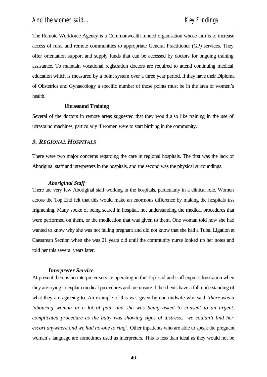The Remote Workforce Agency is a Commonwealth funded organisation whose aim is to increase access of rural and remote communities to appropriate General Practitioner (GP) services. They offer orientation support and supply funds that can be accessed by doctors for ongoing training assistance. To maintain vocational registration doctors are required to attend continuing medical education which is measured by a point system over a three year period. If they have their Diploma of Obstetrics and Gynaecology a specific number of those points must be in the area of women's health.

#### **Ultrasound Training**

Several of the doctors in remote areas suggested that they would also like training in the use of ultrasound machines, particularly if women were to start birthing in the community.

## *9. REGIONAL HOSPITALS*

There were two major concerns regarding the care in regional hospitals. The first was the lack of Aboriginal staff and interpreters in the hospitals, and the second was the physical surroundings.

#### *Aboriginal Staff*

There are very few Aboriginal staff working in the hospitals, particularly in a clinical role. Women across the Top End felt that this would make an enormous difference by making the hospitals less frightening. Many spoke of being scared in hospital, not understanding the medical procedures that were performed on them, or the medication that was given to them. One woman told how she had wanted to know why she was not falling pregnant and did not know that she had a Tubal Ligation at Caesarean Section when she was 21 years old until the community nurse looked up her notes and told her this several years later.

#### *Interpreter Service*

At present there is no interpreter service operating in the Top End and staff express frustration when they are trying to explain medical procedures and are unsure if the clients have a full understanding of what they are agreeing to. An example of this was given by one midwife who said *'there was a labouring woman in a lot of pain and she was being asked to consent to an urgent, complicated procedure as the baby was showing signs of distress... we couldn't find her escort anywhere and we had no-one to ring'.* Other inpatients who are able to speak the pregnant woman's language are sometimes used as interpreters. This is less than ideal as they would not be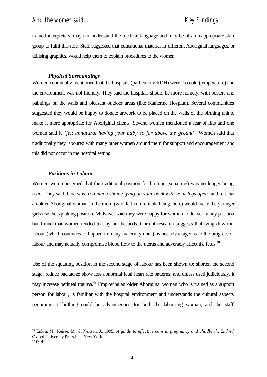trained interpreters, may not understand the medical language and may be of an inappropriate skin group to fulfil this role. Staff suggested that educational material in different Aboriginal languages, or utilising graphics, would help them to explain procedures to the women.

## *Physical Surroundings*

Women continually mentioned that the hospitals (particularly RDH) were too cold (temperature) and the environment was not friendly. They said the hospitals should be more homely, with posters and paintings on the walls and pleasant outdoor areas (like Katherine Hospital). Several communities suggested they would be happy to donate artwork to be placed on the walls of the birthing unit to make it more appropriate for Aboriginal clients. Several women mentioned a fear of lifts and one woman said it *'felt unnatural having your baby so far above the ground'.* Women said that traditionally they laboured with many other women around them for support and encouragement and this did not occur in the hospital setting.

#### *Positions in Labour*

Women were concerned that the traditional position for birthing (squatting) was no longer being used. They said there was *'too much shame lying on your back with your legs open'* and felt that an older Aboriginal woman in the room (who felt comfortable being there) would make the younger girls use the squatting position. Midwives said they were happy for women to deliver in any position but found that women tended to stay on the beds. Current research suggests that lying down in labour (which continues to happen in many maternity units), is not advantageous to the progress of labour and may actually compromise blood flow to the uterus and adversely affect the fetus.<sup>48</sup>

Use of the squatting position in the second stage of labour has been shown to: shorten the second stage; reduce backache; show less abnormal fetal heart rate patterns; and unless used judiciously, it may increase perineal trauma.<sup>49</sup> Employing an older Aboriginal woman who is trained as a support person for labour, is familiar with the hospital environment and understands the cultural aspects pertaining to birthing could be advantageous for both the labouring woman, and the staff.

l

<sup>48</sup> Enkin, M., Keirse, M., & Neilson, J., 1995, *A guide to effective care in pregnancy and childbirth, 2nd ed.* Oxford University Press Inc., New York.

<sup>49</sup> Ibid.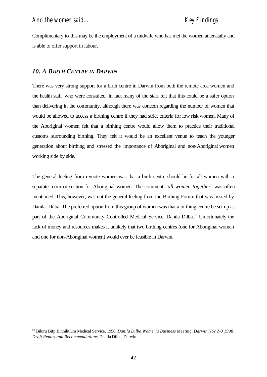l

Complimentary to this may be the employment of a midwife who has met the women antenatally and is able to offer support in labour.

# *10. A BIRTH CENTRE IN DARWIN*

There was very strong support for a birth centre in Darwin from both the remote area women and the health staff who were consulted. In fact many of the staff felt that this could be a safer option than delivering in the community, although there was concern regarding the number of women that would be allowed to access a birthing centre if they had strict criteria for low risk women. Many of the Aboriginal women felt that a birthing centre would allow them to practice their traditional customs surrounding birthing. They felt it would be an excellent venue to teach the younger generation about birthing and stressed the importance of Aboriginal and non-Aboriginal women working side by side.

The general feeling from remote women was that a birth centre should be for all women with a separate room or section for Aboriginal women. The comment *'all women together'* was often mentioned. This, however, was not the general feeling from the Birthing Forum that was hosted by Danila Dilba. The preferred option from this group of women was that a birthing centre be set up as part of the Aboriginal Community Controlled Medical Service, Danila Dilba.<sup>50</sup> Unfortunately the lack of money and resources makes it unlikely that two birthing centres (one for Aboriginal women and one for non-Aboriginal women) would ever be feasible in Darwin.

<sup>50</sup> Biluru Bitji Binnilitlum Medical Service, 1998, *Danila Dilba Women's Business Meeting, Darwin Nov 2-3 1998, Draft Report and Recommendations*, Danila Dilba, Darwin.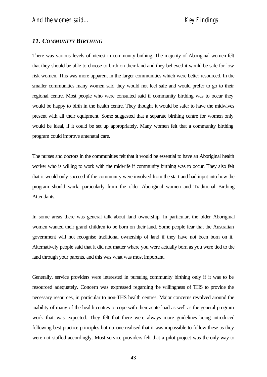# *11. COMMUNITY BIRTHING*

There was various levels of interest in community birthing. The majority of Aboriginal women felt that they should be able to choose to birth on their land and they believed it would be safe for low risk women. This was more apparent in the larger communities which were better resourced. In the smaller communities many women said they would not feel safe and would prefer to go to their regional centre. Most people who were consulted said if community birthing was to occur they would be happy to birth in the health centre. They thought it would be safer to have the midwives present with all their equipment. Some suggested that a separate birthing centre for women only would be ideal, if it could be set up appropriately. Many women felt that a community birthing program could improve antenatal care.

The nurses and doctors in the communities felt that it would be essential to have an Aboriginal health worker who is willing to work with the midwife if community birthing was to occur. They also felt that it would only succeed if the community were involved from the start and had input into how the program should work, particularly from the older Aboriginal women and Traditional Birthing Attendants.

In some areas there was general talk about land ownership. In particular, the older Aboriginal women wanted their grand children to be born on their land. Some people fear that the Australian government will not recognise traditional ownership of land if they have not been born on it. Alternatively people said that it did not matter where you were actually born as you were tied to the land through your parents, and this was what was most important.

Generally, service providers were interested in pursuing community birthing only if it was to be resourced adequately. Concern was expressed regarding the willingness of THS to provide the necessary resources, in particular to non-THS health centres. Major concerns revolved around the inability of many of the health centres to cope with their acute load as well as the general program work that was expected. They felt that there were always more guidelines being introduced following best practice principles but no-one realised that it was impossible to follow these as they were not staffed accordingly. Most service providers felt that a pilot project was the only way to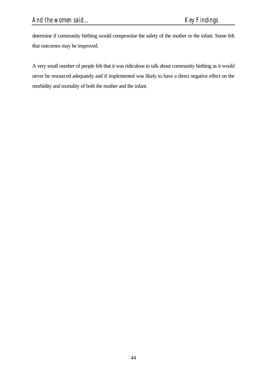determine if community birthing would compromise the safety of the mother or the infant. Some felt that outcomes may be improved.

A very small number of people felt that it was ridiculous to talk about community birthing as it would never be resourced adequately and if implemented was likely to have a direct negative effect on the morbidity and mortality of both the mother and the infant.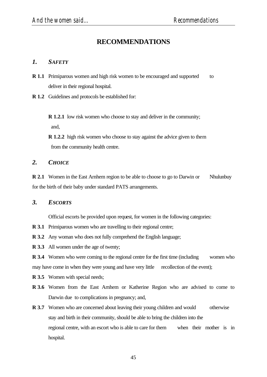# **RECOMMENDATIONS**

## *1. SAFETY*

- **R 1.1** Primiparous women and high risk women to be encouraged and supported to deliver in their regional hospital.
- **R 1.2** Guidelines and protocols be established for:

**R 1.2.1** low risk women who choose to stay and deliver in the community; and,

**R 1.2.2** high risk women who choose to stay against the advice given to them from the community health centre.

## 2. *СНОІСЕ*

**R 2.1** Women in the East Arnhem region to be able to choose to go to Darwin or Nhulunbuy for the birth of their baby under standard PATS arrangements.

## *3. ESCORTS*

Official escorts be provided upon request, for women in the following categories:

- **R 3.1** Primiparous women who are travelling to their regional centre;
- **R 3.2** Any woman who does not fully comprehend the English language;
- **R 3.3** All women under the age of twenty;

**R 3.4** Women who were coming to the regional centre for the first time (including women who may have come in when they were young and have very little recollection of the event);

- **R 3.5** Women with special needs;
- **R 3.6** Women from the East Arnhem or Katherine Region who are advised to come to Darwin due to complications in pregnancy; and,
- **R 3.7** Women who are concerned about leaving their young children and would otherwise stay and birth in their community, should be able to bring the children into the regional centre, with an escort who is able to care for them when their mother is in hospital.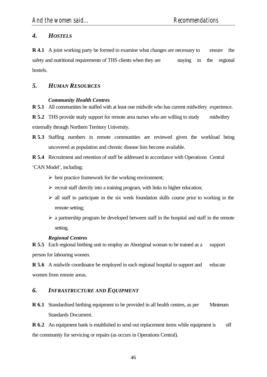# *4. HOSTELS*

**R 4.1** A joint working party be formed to examine what changes are necessary to ensure the safety and nutritional requirements of THS clients when they are staying in the regional hostels.

# *5. HUMAN RESOURCES*

## *Community Health Centres*

**R 5.1** All communities be staffed with at least one midwife who has current midwifery experience.

**R 5.2** THS provide study support for remote area nurses who are willing to study midwifery externally through Northern Territory University.

**R 5.3** Staffing numbers in remote communities are reviewed given the workload being uncovered as population and chronic disease lists become available.

**R 5.4** Recruitment and retention of staff be addressed in accordance with Operations Central

'CAN Model', including:

- $\triangleright$  best practice framework for the working environment;
- $\triangleright$  recruit staff directly into a training program, with links to higher education;
- $\triangleright$  all staff to participate in the six week foundation skills course prior to working in the remote setting;
- $\triangleright$  a partnership program be developed between staff in the hospital and staff in the remote setting.

# *Regional Centres*

**R 5.5** Each regional birthing unit to employ an Aboriginal woman to be trained as a support person for labouring women.

**R 5.6** A midwife coordinator be employed in each regional hospital to support and educate women from remote areas.

# *6. INFRASTRUCTURE AND EQUIPMENT*

**R 6.1** Standardised birthing equipment to be provided in all health centres, as per Minimum Standards Document.

**R 6.2** An equipment bank is established to send out replacement items while equipment is off the community for servicing or repairs (as occurs in Operations Central).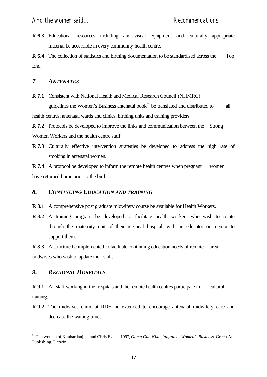**R 6.3** Educational resources including audiovisual equipment and culturally appropriate material be accessible in every community health centre.

**R 6.4** The collection of statistics and birthing documentation to be standardised across the Top End.

## *7. ANTENATES*

**R 7.1** Consistent with National Health and Medical Research Council (NHMRC)

guidelines the Women's Business antenatal book<sup>51</sup> be translated and distributed to all health centres, antenatal wards and clinics, birthing units and training providers.

**R 7.2** Protocols be developed to improve the links and communication between the Strong Women Workers and the health centre staff.

**R 7.3** Culturally effective intervention strategies be developed to address the high rate of smoking in antenatal women.

**R 7.4** A protocol be developed to inform the remote health centres when pregnant women have returned home prior to the birth.

## *8. CONTINUING EDUCATION AND TRAINING*

- **R 8.1** A comprehensive post graduate midwifery course be available for Health Workers.
- **R 8.2** A training program be developed to facilitate health workers who wish to rotate through the maternity unit of their regional hospital, with an educator or mentor to support them.

**R 8.3** A structure be implemented to facilitate continuing education needs of remote area midwives who wish to update their skills.

# *9. REGIONAL HOSPITALS*

l

**R 9.1** All staff working in the hospitals and the remote health centres participate in cultural training.

**R 9.2** The midwives clinic at RDH be extended to encourage antenatal midwifery care and decrease the waiting times.

<sup>51</sup> The women of Kunbarllanjnja and Chris Evans, 1997, *Gama Gun-Nika Janguny - Women's Business,* Green Ant Publishing, Darwin.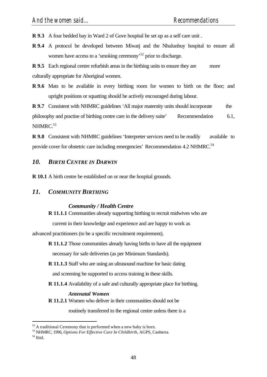**R 9.3** A four bedded bay in Ward 2 of Gove hospital be set up as a self care unit .

**R 9.4** A protocol be developed between Miwatj and the Nhulunbuy hospital to ensure all women have access to a 'smoking ceremony'<sup>52</sup> prior to discharge.

**R 9.5** Each regional centre refurbish areas in the birthing units to ensure they are more culturally appropriate for Aboriginal women.

**R 9.6** Mats to be available in every birthing room for women to birth on the floor; and upright positions or squatting should be actively encouraged during labour.

**R 9.7** Consistent with NHMRC guidelines 'All major maternity units should incorporate the philosophy and practise of birthing centre care in the delivery suite' Recommendation 6.1,  $NHMRC.<sup>53</sup>$ 

**R 9.8** Consistent with NHMRC guidelines 'Interpreter services need to be readily available to provide cover for obstetric care including emergencies' Recommendation 4.2 NHMRC.<sup>54</sup>

## *10. BIRTH CENTRE IN DARWIN*

**R 10.1** A birth centre be established on or near the hospital grounds.

## *11. COMMUNITY BIRTHING*

#### *Community / Health Centre*

**R 11.1.1** Communities already supporting birthing to recruit midwives who are

current in their knowledge and experience and are happy to work as

advanced practitioners (to be a specific recruitment requirement).

**R 11.1.2** Those communities already having births to have all the equipment

necessary for safe deliveries (as per Minimum Standards).

**R 11.1.3** Staff who are using an ultrasound machine for basic dating and screening be supported to access training in these skills.

**R 11.1.4** Availability of a safe and culturally appropriate place for birthing.

#### *Antenatal Women*

**R 11.2.1** Women who deliver in their communities should not be

routinely transferred to the regional centre unless there is a

l

 $52$  A traditional Ceremony that is performed when a new baby is born.

<sup>53</sup> NHMRC, 1996, *Options For Effective Care In Childbirth,* AGPS, Canberra.

 $54$  Ibid.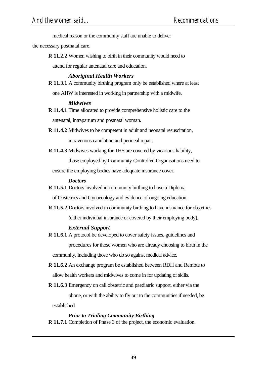medical reason or the community staff are unable to deliver

the necessary postnatal care.

**R 11.2.2** Women wishing to birth in their community would need to

attend for regular antenatal care and education.

## *Aboriginal Health Workers*

**R 11.3.1** A community birthing program only be established where at least

one AHW is interested in working in partnership with a midwife.

### *Midwives*

- **R 11.4.1** Time allocated to provide comprehensive holistic care to the antenatal, intrapartum and postnatal woman.
- **R 11.4.2** Midwives to be competent in adult and neonatal resuscitation,

intravenous canulation and perineal repair.

**R 11.4.3** Midwives working for THS are covered by vicarious liability,

those employed by Community Controlled Organisations need to

ensure the employing bodies have adequate insurance cover.

#### *Doctors*

**R 11.5.1** Doctors involved in community birthing to have a Diploma

of Obstetrics and Gynaecology and evidence of ongoing education.

**R 11.5.2** Doctors involved in community birthing to have insurance for obstetrics (either individual insurance or covered by their employing body).

## *External Support*

**R 11.6.1** A protocol be developed to cover safety issues, guidelines and procedures for those women who are already choosing to birth in the community, including those who do so against medical advice.

**R 11.6.2** An exchange program be established between RDH and Remote to allow health workers and midwives to come in for updating of skills.

**R 11.6.3** Emergency on call obstetric and paediatric support, either via the phone, or with the ability to fly out to the communities if needed, be

established.

l

## *Prior to Trialing Community Birthing*

**R 11.7.1** Completion of Phase 3 of the project, the economic evaluation.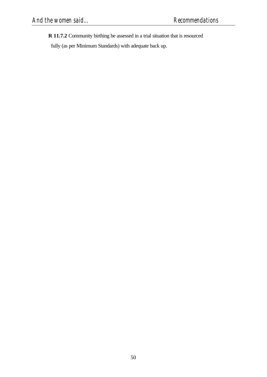**R 11.7.2** Community birthing be assessed in a trial situation that is resourced

fully (as per Minimum Standards) with adequate back up.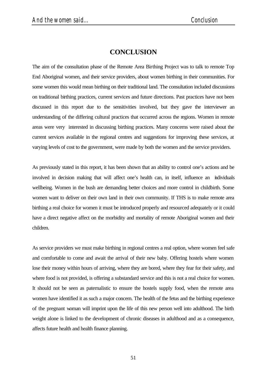# **CONCLUSION**

The aim of the consultation phase of the Remote Area Birthing Project was to talk to remote Top End Aboriginal women, and their service providers, about women birthing in their communities. For some women this would mean birthing on their traditional land. The consultation included discussions on traditional birthing practices, current services and future directions. Past practices have not been discussed in this report due to the sensitivities involved, but they gave the interviewer an understanding of the differing cultural practices that occurred across the regions. Women in remote areas were very interested in discussing birthing practices. Many concerns were raised about the current services available in the regional centres and suggestions for improving these services, at varying levels of cost to the government, were made by both the women and the service providers.

As previously stated in this report, it has been shown that an ability to control one's actions and be involved in decision making that will affect one's health can, in itself, influence an individuals wellbeing. Women in the bush are demanding better choices and more control in childbirth. Some women want to deliver on their own land in their own community. If THS is to make remote area birthing a real choice for women it must be introduced properly and resourced adequately or it could have a direct negative affect on the morbidity and mortality of remote Aboriginal women and their children.

As service providers we must make birthing in regional centres a real option, where women feel safe and comfortable to come and await the arrival of their new baby. Offering hostels where women lose their money within hours of arriving, where they are bored, where they fear for their safety, and where food is not provided, is offering a substandard service and this is not a real choice for women. It should not be seen as paternalistic to ensure the hostels supply food, when the remote area women have identified it as such a major concern. The health of the fetus and the birthing experience of the pregnant woman will imprint upon the life of this new person well into adulthood. The birth weight alone is linked to the development of chronic diseases in adulthood and as a consequence, affects future health and health finance planning.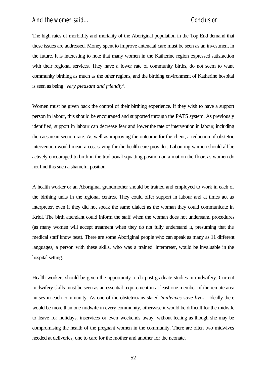The high rates of morbidity and mortality of the Aboriginal population in the Top End demand that these issues are addressed. Money spent to improve antenatal care must be seen as an investment in the future. It is interesting to note that many women in the Katherine region expressed satisfaction with their regional services. They have a lower rate of community births, do not seem to want community birthing as much as the other regions, and the birthing environment of Katherine hospital is seen as being *'very pleasant and friendly'.*

Women must be given back the control of their birthing experience. If they wish to have a support person in labour, this should be encouraged and supported through the PATS system. As previously identified, support in labour can decrease fear and lower the rate of intervention in labour, including the caesarean section rate. As well as improving the outcome for the client, a reduction of obstetric intervention would mean a cost saving for the health care provider. Labouring women should all be actively encouraged to birth in the traditional squatting position on a mat on the floor, as women do not find this such a shameful position.

A health worker or an Aboriginal grandmother should be trained and employed to work in each of the birthing units in the regional centres. They could offer support in labour and at times act as interpreter, even if they did not speak the same dialect as the woman they could communicate in Kriol. The birth attendant could inform the staff when the woman does not understand procedures (as many women will accept treatment when they do not fully understand it, presuming that the medical staff know best). There are some Aboriginal people who can speak as many as 11 different languages, a person with these skills, who was a trained interpreter, would be invaluable in the hospital setting.

Health workers should be given the opportunity to do post graduate studies in midwifery. Current midwifery skills must be seen as an essential requirement in at least one member of the remote area nurses in each community. As one of the obstetricians stated *'midwives save lives'.* Ideally there would be more than one midwife in every community, otherwise it would be difficult for the midwife to leave for holidays, inservices or even weekends away, without feeling as though she may be compromising the health of the pregnant women in the community. There are often two midwives needed at deliveries, one to care for the mother and another for the neonate.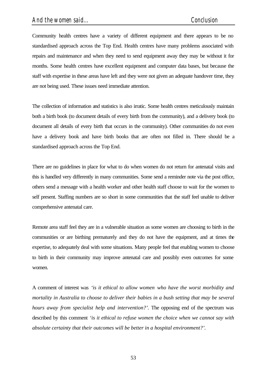Community health centres have a variety of different equipment and there appears to be no standardised approach across the Top End. Health centres have many problems associated with repairs and maintenance and when they need to send equipment away they may be without it for months. Some health centres have excellent equipment and computer data bases, but because the staff with expertise in these areas have left and they were not given an adequate handover time, they are not being used. These issues need immediate attention.

The collection of information and statistics is also irratic. Some health centres meticulously maintain both a birth book (to document details of every birth from the community), and a delivery book (to document all details of every birth that occurs in the community). Other communities do not even have a delivery book and have birth books that are often not filled in. There should be a standardised approach across the Top End.

There are no guidelines in place for what to do when women do not return for antenatal visits and this is handled very differently in many communities. Some send a reminder note via the post office, others send a message with a health worker and other health staff choose to wait for the women to self present. Staffing numbers are so short in some communities that the staff feel unable to deliver comprehensive antenatal care.

Remote area staff feel they are in a vulnerable situation as some women are choosing to birth in the communities or are birthing prematurely and they do not have the equipment, and at times the expertise, to adequately deal with some situations. Many people feel that enabling women to choose to birth in their community may improve antenatal care and possibly even outcomes for some women.

A comment of interest was *'is it ethical to allow women who have the worst morbidity and mortality in Australia to choose to deliver their babies in a bush setting that may be several hours away from specialist help and intervention?'.* The opposing end of the spectrum was described by this comment *'is it ethical to refuse women the choice when we cannot say with absolute certainty that their outcomes will be better in a hospital environment?'.*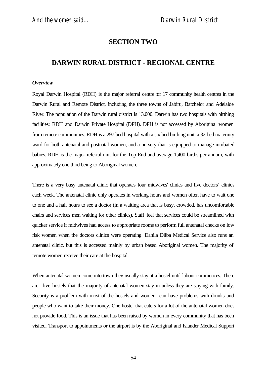# **SECTION TWO**

# **DARWIN RURAL DISTRICT - REGIONAL CENTRE**

#### *Overview*

Royal Darwin Hospital (RDH) is the major referral centre for 17 community health centres in the Darwin Rural and Remote District, including the three towns of Jabiru, Batchelor and Adelaide River. The population of the Darwin rural district is 13,000. Darwin has two hospitals with birthing facilities: RDH and Darwin Private Hospital (DPH). DPH is not accessed by Aboriginal women from remote communities. RDH is a 297 bed hospital with a six bed birthing unit, a 32 bed maternity ward for both antenatal and postnatal women, and a nursery that is equipped to manage intubated babies. RDH is the major referral unit for the Top End and average 1,400 births per annum, with approximately one third being to Aboriginal women.

There is a very busy antenatal clinic that operates four midwives' clinics and five doctors' clinics each week. The antenatal clinic only operates in working hours and women often have to wait one to one and a half hours to see a doctor (in a waiting area that is busy, crowded, has uncomfortable chairs and services men waiting for other clinics). Staff feel that services could be streamlined with quicker service if midwives had access to appropriate rooms to perform full antenatal checks on low risk women when the doctors clinics were operating. Danila Dilba Medical Service also runs an antenatal clinic, but this is accessed mainly by urban based Aboriginal women. The majority of remote women receive their care at the hospital.

When antenatal women come into town they usually stay at a hostel until labour commences. There are five hostels that the majority of antenatal women stay in unless they are staying with family. Security is a problem with most of the hostels and women can have problems with drunks and people who want to take their money. One hostel that caters for a lot of the antenatal women does not provide food. This is an issue that has been raised by women in every community that has been visited. Transport to appointments or the airport is by the Aboriginal and Islander Medical Support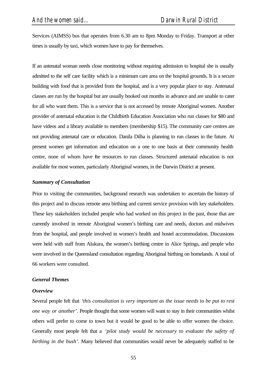Services (AIMSS) bus that operates from 6.30 am to 8pm Monday to Friday. Transport at other times is usually by taxi, which women have to pay for themselves.

If an antenatal woman needs close monitoring without requiring admission to hospital she is usually admitted to the self care facility which is a minimum care area on the hospital grounds. It is a secure building with food that is provided from the hospital, and is a very popular place to stay. Antenatal classes are run by the hospital but are usually booked out months in advance and are unable to cater for all who want them. This is a service that is not accessed by remote Aboriginal women. Another provider of antenatal education is the Childbirth Education Association who run classes for \$80 and have videos and a library available to members (membership \$15). The community care centres are not providing antenatal care or education. Danila Dilba is planning to run classes in the future. At present women get information and education on a one to one basis at their community health centre, none of whom have the resources to run classes. Structured antenatal education is not available for most women, particularly Aboriginal women, in the Darwin District at present.

#### *Summary of Consultation*

Prior to visiting the communities, background research was undertaken to ascertain the history of this project and to discuss remote area birthing and current service provision with key stakeholders. These key stakeholders included people who had worked on this project in the past, those that are currently involved in remote Aboriginal women's birthing care and needs, doctors and midwives from the hospital, and people involved in women's health and hostel accommodation. Discussions were held with staff from Alukura, the women's birthing centre in Alice Springs, and people who were involved in the Queensland consultation regarding Aboriginal birthing on homelands. A total of 66 workers were consulted.

#### *General Themes*

#### *Overview*

Several people felt that *'this consultation is very important as the issue needs to be put to rest one way or another'.* People thought that some women will want to stay in their communities whilst others will prefer to come to town but it would be good to be able to offer women the choice. Generally most people felt that a *'pilot study would be necessary to evaluate the safety of birthing in the bush'.* Many believed that communities would never be adequately staffed to be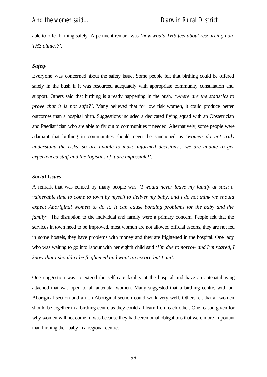able to offer birthing safely. A pertinent remark was *'how would THS feel about resourcing non-THS clinics?'.*

#### *Safety*

Everyone was concerned about the safety issue. Some people felt that birthing could be offered safely in the bush if it was resourced adequately with appropriate community consultation and support. Others said that birthing is already happening in the bush, *'where are the statistics to prove that it is not safe?'*. Many believed that for low risk women, it could produce better outcomes than a hospital birth. Suggestions included a dedicated flying squad with an Obstetrician and Paediatrician who are able to fly out to communities if needed. Alternatively, some people were adamant that birthing in communities should never be sanctioned as *'women do not truly understand the risks, so are unable to make informed decisions... we are unable to get experienced staff and the logistics of it are impossible!'.*

#### *Social Issues*

A remark that was echoed by many people was *'I would never leave my family at such a vulnerable time to come to town by myself to deliver my baby, and I do not think we should expect Aboriginal women to do it. It can cause bonding problems for the baby and the family'*. The disruption to the individual and family were a primary concern. People felt that the services in town need to be improved, most women are not allowed official escorts, they are not fed in some hostels, they have problems with money and they are frightened in the hospital. One lady who was waiting to go into labour with her eighth child said *'I'm due tomorrow and I'm scared, I know that I shouldn't be frightened and want an escort, but I am'.*

One suggestion was to extend the self care facility at the hospital and have an antenatal wing attached that was open to all antenatal women. Many suggested that a birthing centre, with an Aboriginal section and a non-Aboriginal section could work very well. Others felt that all women should be together in a birthing centre as they could all learn from each other. One reason given for why women will not come in was because they had ceremonial obligations that were more important than birthing their baby in a regional centre.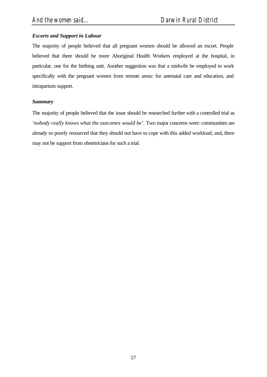# *Escorts and Support in Labour*

The majority of people believed that all pregnant women should be allowed an escort. People believed that there should be more Aboriginal Health Workers employed at the hospital, in particular, one for the birthing unit. Another suggestion was that a midwife be employed to work specifically with the pregnant women from remote areas: for antenatal care and education, and intrapartum support.

## *Summary*

The majority of people believed that the issue should be researched further with a controlled trial as *'nobody really knows what the outcomes would be'.* Two major concerns were: communities are already so poorly resourced that they should not have to cope with this added workload; and, there may not be support from obstetricians for such a trial.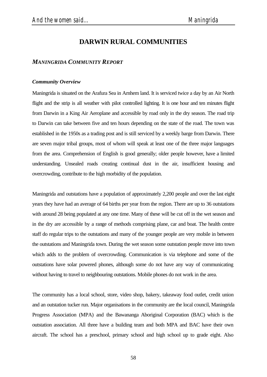# **DARWIN RURAL COMMUNITIES**

## *MANINGRIDA COMMUNITY REPORT*

#### *Community Overview*

Maningrida is situated on the Arafura Sea in Arnhem land. It is serviced twice a day by an Air North flight and the strip is all weather with pilot controlled lighting. It is one hour and ten minutes flight from Darwin in a King Air Aeroplane and accessible by road only in the dry season. The road trip to Darwin can take between five and ten hours depending on the state of the road. The town was established in the 1950s as a trading post and is still serviced by a weekly barge from Darwin. There are seven major tribal groups, most of whom will speak at least one of the three major languages from the area. Comprehension of English is good generally; older people however, have a limited understanding. Unsealed roads creating continual dust in the air, insufficient housing and overcrowding, contribute to the high morbidity of the population.

Maningrida and outstations have a population of approximately 2,200 people and over the last eight years they have had an average of 64 births per year from the region. There are up to 36 outstations with around 28 being populated at any one time. Many of these will be cut off in the wet season and in the dry are accessible by a range of methods comprising plane, car and boat. The health centre staff do regular trips to the outstations and many of the younger people are very mobile in between the outstations and Maningrida town. During the wet season some outstation people move into town which adds to the problem of overcrowding. Communication is via telephone and some of the outstations have solar powered phones, although some do not have any way of communicating without having to travel to neighbouring outstations. Mobile phones do not work in the area.

The community has a local school, store, video shop, bakery, takeaway food outlet, credit union and an outstation tucker run. Major organisations in the community are the local council, Maningrida Progress Association (MPA) and the Bawananga Aboriginal Corporation (BAC) which is the outstation association. All three have a building team and both MPA and BAC have their own aircraft. The school has a preschool, primary school and high school up to grade eight. Also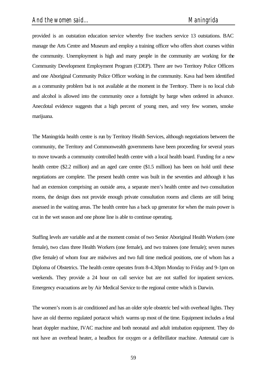provided is an outstation education service whereby five teachers service 13 outstations. BAC manage the Arts Centre and Museum and employ a training officer who offers short courses within the community. Unemployment is high and many people in the community are working for the Community Development Employment Program (CDEP). There are two Territory Police Officers and one Aboriginal Community Police Officer working in the community. Kava had been identified as a community problem but is not available at the moment in the Territory. There is no local club and alcohol is allowed into the community once a fortnight by barge when ordered in advance. Anecdotal evidence suggests that a high percent of young men, and very few women, smoke marijuana.

The Maningrida health centre is run by Territory Health Services, although negotiations between the community, the Territory and Commonwealth governments have been proceeding for several years to move towards a community controlled health centre with a local health board. Funding for a new health centre (\$2.2 million) and an aged care centre (\$1.5 million) has been on hold until these negotiations are complete. The present health centre was built in the seventies and although it has had an extension comprising an outside area, a separate men's health centre and two consultation rooms, the design does not provide enough private consultation rooms and clients are still being assessed in the waiting areas. The health centre has a back up generator for when the main power is cut in the wet season and one phone line is able to continue operating.

Staffing levels are variable and at the moment consist of two Senior Aboriginal Health Workers (one female), two class three Health Workers (one female), and two trainees (one female); seven nurses (five female) of whom four are midwives and two full time medical positions, one of whom has a Diploma of Obstetrics. The health centre operates from 8-4.30pm Monday to Friday and 9-1pm on weekends. They provide a 24 hour on call service but are not staffed for inpatient services. Emergency evacuations are by Air Medical Service to the regional centre which is Darwin.

The women's room is air conditioned and has an older style obstetric bed with overhead lights. They have an old thermo regulated portacot which warms up most of the time. Equipment includes a fetal heart doppler machine, IVAC machine and both neonatal and adult intubation equipment. They do not have an overhead heater, a headbox for oxygen or a defibrillator machine. Antenatal care is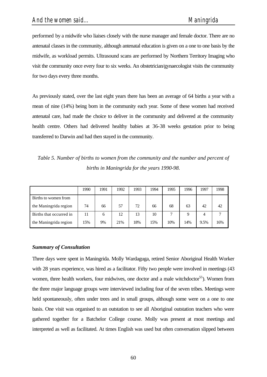performed by a midwife who liaises closely with the nurse manager and female doctor. There are no antenatal classes in the community, although antenatal education is given on a one to one basis by the midwife, as workload permits. Ultrasound scans are performed by Northern Territory Imaging who visit the community once every four to six weeks. An obstetrician/gynaecologist visits the community for two days every three months.

As previously stated, over the last eight years there has been an average of 64 births a year with a mean of nine (14%) being born in the community each year. Some of these women had received antenatal care, had made the choice to deliver in the community and delivered at the community health centre. Others had delivered healthy babies at 36-38 weeks gestation prior to being transferred to Darwin and had then stayed in the community.

*Table 5. Number of births to women from the community and the number and percent of births in Maningrida for the years 1990-98.*

|                         | 1990 | 1991 | 1992 | 1993 | 1994 | 1995 | 1996 | 1997 | 1998 |
|-------------------------|------|------|------|------|------|------|------|------|------|
|                         |      |      |      |      |      |      |      |      |      |
| Births to women from    |      |      |      |      |      |      |      |      |      |
| the Maningrida region   | 74   | 66   | 57   | 72   | 66   | 68   | 63   | 42   | 42   |
| Births that occurred in | 11   | 6    | 12   | 13   | 10   | −    | 9    | 4    |      |
| the Maningrida region   | 15%  | 9%   | 21%  | 18%  | 15%  | 10%  | 14%  | 9.5% | 16%  |

#### *Summary of Consultation*

Three days were spent in Maningrida. Molly Wardaguga, retired Senior Aboriginal Health Worker with 28 years experience, was hired as a facilitator. Fifty two people were involved in meetings (43 women, three health workers, four midwives, one doctor and a male witchdoctor<sup>55</sup>). Women from the three major language groups were interviewed including four of the seven tribes. Meetings were held spontaneously, often under trees and in small groups, although some were on a one to one basis. One visit was organised to an outstation to see all Aboriginal outstation teachers who were gathered together for a Batchelor College course. Molly was present at most meetings and interpreted as well as facilitated. At times English was used but often conversation slipped between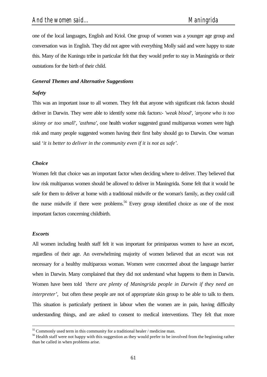one of the local languages, English and Kriol. One group of women was a younger age group and conversation was in English. They did not agree with everything Molly said and were happy to state this. Many of the Kuningu tribe in particular felt that they would prefer to stay in Maningrida or their outstations for the birth of their child.

### *General Themes and Alternative Suggestions*

#### *Safety*

This was an important issue to all women. They felt that anyone with significant risk factors should deliver in Darwin. They were able to identify some risk factors:- *'weak blood', 'anyone who is too skinny or too small', 'asthma',* one health worker suggested grand multiparous women were high risk and many people suggested women having their first baby should go to Darwin. One woman said *'it is better to deliver in the community even if it is not as safe'.*

#### *Choice*

Women felt that choice was an important factor when deciding where to deliver. They believed that low risk multiparous women should be allowed to deliver in Maningrida. Some felt that it would be safe for them to deliver at home with a traditional midwife or the woman's family, as they could call the nurse midwife if there were problems.<sup>56</sup> Every group identified choice as one of the most important factors concerning childbirth.

#### *Escorts*

l

All women including health staff felt it was important for primiparous women to have an escort, regardless of their age. An overwhelming majority of women believed that an escort was not necessary for a healthy multiparous woman. Women were concerned about the language barrier when in Darwin. Many complained that they did not understand what happens to them in Darwin. Women have been told *'there are plenty of Maningrida people in Darwin if they need an interpreter'*, but often these people are not of appropriate skin group to be able to talk to them. This situation is particularly pertinent in labour when the women are in pain, having difficulty understanding things, and are asked to consent to medical interventions. They felt that more

<sup>&</sup>lt;sup>55</sup> Commonly used term in this community for a traditional healer / medicine man.

<sup>&</sup>lt;sup>56</sup> Health staff were not happy with this suggestion as they would prefer to be involved from the beginning rather than be called in when problems arise.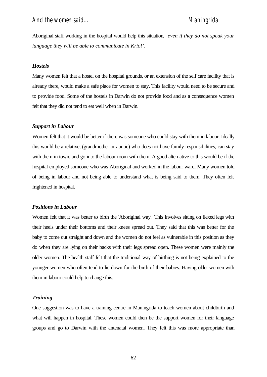Aboriginal staff working in the hospital would help this situation*, 'even if they do not speak your language they will be able to communicate in Kriol'.*

#### *Hostels*

Many women felt that a hostel on the hospital grounds, or an extension of the self care facility that is already there, would make a safe place for women to stay. This facility would need to be secure and to provide food. Some of the hostels in Darwin do not provide food and as a consequence women felt that they did not tend to eat well when in Darwin.

#### *Support in Labour*

Women felt that it would be better if there was someone who could stay with them in labour. Ideally this would be a relative, (grandmother or auntie) who does not have family responsibilities, can stay with them in town, and go into the labour room with them. A good alternative to this would be if the hospital employed someone who was Aboriginal and worked in the labour ward. Many women told of being in labour and not being able to understand what is being said to them. They often felt frightened in hospital.

#### *Positions in Labour*

Women felt that it was better to birth the 'Aboriginal way'. This involves sitting on flexed legs with their heels under their bottoms and their knees spread out. They said that this was better for the baby to come out straight and down and the women do not feel as vulnerable in this position as they do when they are lying on their backs with their legs spread open. These women were mainly the older women. The health staff felt that the traditional way of birthing is not being explained to the younger women who often tend to lie down for the birth of their babies. Having older women with them in labour could help to change this.

#### *Training*

One suggestion was to have a training centre in Maningrida to teach women about childbirth and what will happen in hospital. These women could then be the support women for their language groups and go to Darwin with the antenatal women. They felt this was more appropriate than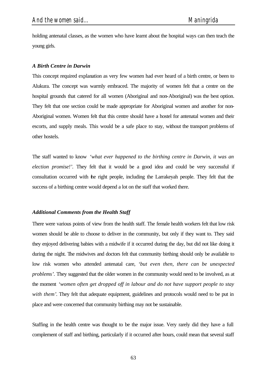holding antenatal classes, as the women who have learnt about the hospital ways can then teach the young girls.

### *A Birth Centre in Darwin*

This concept required explanation as very few women had ever heard of a birth centre, or been to Alukura. The concept was warmly embraced. The majority of women felt that a centre on the hospital grounds that catered for all women (Aboriginal and non-Aboriginal) was the best option. They felt that one section could be made appropriate for Aboriginal women and another for non-Aboriginal women. Women felt that this centre should have a hostel for antenatal women and their escorts, and supply meals. This would be a safe place to stay, without the transport problems of other hostels.

The staff wanted to know *'what ever happened to the birthing centre in Darwin, it was an election promise!'.* They felt that it would be a good idea and could be very successful if consultation occurred with the right people, including the Larrakeyah people. They felt that the success of a birthing centre would depend a lot on the staff that worked there.

#### *Additional Comments from the Health Staff*

There were various points of view from the health staff. The female health workers felt that low risk women should be able to choose to deliver in the community, but only if they want to. They said they enjoyed delivering babies with a midwife if it occurred during the day, but did not like doing it during the night. The midwives and doctors felt that community birthing should only be available to low risk women who attended antenatal care, *'but even then, there can be unexpected problems'.* They suggested that the older women in the community would need to be involved, as at the moment *'women often get dropped off in labour and do not have support people to stay with them'*. They felt that adequate equipment, guidelines and protocols would need to be put in place and were concerned that community birthing may not be sustainable.

Staffing in the health centre was thought to be the major issue. Very rarely did they have a full complement of staff and birthing, particularly if it occurred after hours, could mean that several staff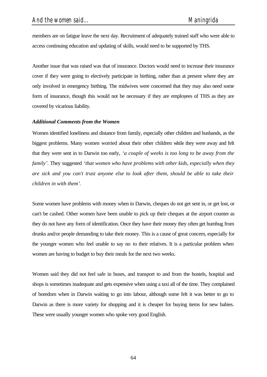members are on fatigue leave the next day. Recruitment of adequately trained staff who were able to access continuing education and updating of skills, would need to be supported by THS.

Another issue that was raised was that of insurance. Doctors would need to increase their insurance cover if they were going to electively participate in birthing, rather than at present where they are only involved in emergency birthing. The midwives were concerned that they may also need some form of insurance, though this would not be necessary if they are employees of THS as they are covered by vicarious liability.

### *Additional Comments from the Women*

Women identified loneliness and distance from family, especially other children and husbands, as the biggest problems. Many women worried about their other children while they were away and felt that they were sent in to Darwin too early, *'a couple of weeks is too long to be away from the family'*. They suggested *'that women who have problems with other kids, especially when they are sick and you can't trust anyone else to look after them, should be able to take their children in with them'*.

Some women have problems with money when in Darwin, cheques do not get sent in, or get lost, or can't be cashed. Other women have been unable to pick up their cheques at the airport counter as they do not have any form of identification. Once they have their money they often get humbug from drunks and/or people demanding to take their money. This is a cause of great concern, especially for the younger women who feel unable to say no to their relatives. It is a particular problem when women are having to budget to buy their meals for the next two weeks.

Women said they did not feel safe in buses, and transport to and from the hostels, hospital and shops is sometimes inadequate and gets expensive when using a taxi all of the time. They complained of boredom when in Darwin waiting to go into labour, although some felt it was better to go to Darwin as there is more variety for shopping and it is cheaper for buying items for new babies. These were usually younger women who spoke very good English.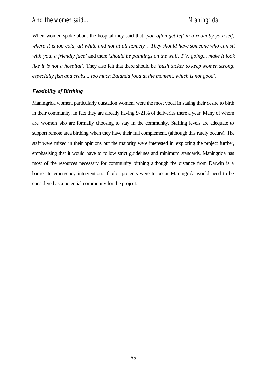When women spoke about the hospital they said that *'you often get left in a room by yourself, where it is too cold, all white and not at all homely'*. '*They should have someone who can sit with you, a friendly face'* and there *'should be paintings on the wall, T.V. going... make it look like it is not a hospital'.* They also felt that there should be *'bush tucker to keep women strong, especially fish and crabs... too much Balanda food at the moment, which is not good'.*

# *Feasibility of Birthing*

Maningrida women, particularly outstation women, were the most vocal in stating their desire to birth in their community. In fact they are already having 9-21% of deliveries there a year. Many of whom are women who are formally choosing to stay in the community. Staffing levels are adequate to support remote area birthing when they have their full complement, (although this rarely occurs). The staff were mixed in their opinions but the majority were interested in exploring the project further, emphasising that it would have to follow strict guidelines and minimum standards. Maningrida has most of the resources necessary for community birthing although the distance from Darwin is a barrier to emergency intervention. If pilot projects were to occur Maningrida would need to be considered as a potential community for the project.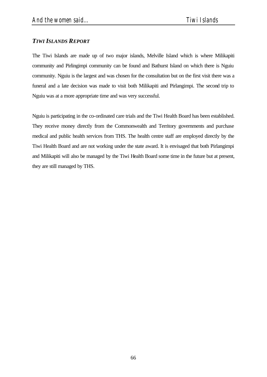# *TIWI ISLANDS REPORT*

The Tiwi Islands are made up of two major islands, Melville Island which is where Milikapiti community and Pirlingimpi community can be found and Bathurst Island on which there is Nguiu community. Nguiu is the largest and was chosen for the consultation but on the first visit there was a funeral and a late decision was made to visit both Milikapiti and Pirlangimpi. The second trip to Nguiu was at a more appropriate time and was very successful.

Nguiu is participating in the co-ordinated care trials and the Tiwi Health Board has been established. They receive money directly from the Commonwealth and Territory governments and purchase medical and public health services from THS. The health centre staff are employed directly by the Tiwi Health Board and are not working under the state award. It is envisaged that both Pirlangimpi and Milikapiti will also be managed by the Tiwi Health Board some time in the future but at present, they are still managed by THS.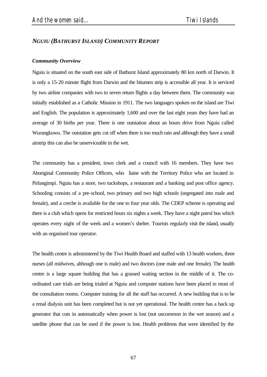# *NGUIU (BATHURST ISLAND) COMMUNITY REPORT*

#### *Community Overview*

Nguiu is situated on the south east side of Bathurst Island approximately 80 km north of Darwin. It is only a 15-20 minute flight from Darwin and the bitumen strip is accessible all year. It is serviced by two airline companies with two to seven return flights a day between them. The community was initially established as a Catholic Mission in 1911. The two languages spoken on the island are Tiwi and English. The population is approximately 1,600 and over the last eight years they have had an average of 30 births per year. There is one outstation about an hours drive from Nguiu called Wurangkuwu. The outstation gets cut off when there is too much rain and although they have a small airstrip this can also be unserviceable in the wet.

The community has a president, town clerk and a council with 16 members. They have two Aboriginal Community Police Officers, who liaise with the Territory Police who are located in Pirlangimpi. Nguiu has a store, two tuckshops, a restaurant and a banking and post office agency. Schooling consists of a pre-school, two primary and two high schools (segregated into male and female), and a creche is available for the one to four year olds. The CDEP scheme is operating and there is a club which opens for restricted hours six nights a week. They have a night patrol bus which operates every night of the week and a women's shelter. Tourists regularly visit the island, usually with an organised tour operator.

The health centre is administered by the Tiwi Health Board and staffed with 13 health workers, three nurses (all midwives, although one is male) and two doctors (one male and one female). The health centre is a large square building that has a grassed waiting section in the middle of it. The coordinated care trials are being trialed at Nguiu and computer stations have been placed in most of the consultation rooms. Computer training for all the staff has occurred. A new building that is to be a renal dialysis unit has been completed but is not yet operational. The health centre has a back up generator that cuts in automatically when power is lost (not uncommon in the wet season) and a satellite phone that can be used if the power is lost. Health problems that were identified by the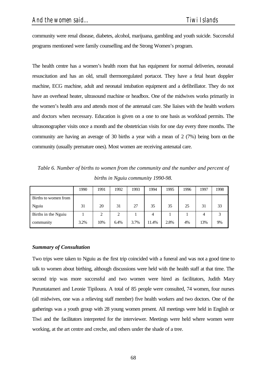community were renal disease, diabetes, alcohol, marijuana, gambling and youth suicide. Successful programs mentioned were family counselling and the Strong Women's program.

The health centre has a women's health room that has equipment for normal deliveries, neonatal resuscitation and has an old, small thermoregulated portacot. They have a fetal heart doppler machine, ECG machine, adult and neonatal intubation equipment and a defibrillator. They do not have an overhead heater, ultrasound machine or headbox. One of the midwives works primarily in the women's health area and attends most of the antenatal care. She liaises with the health workers and doctors when necessary. Education is given on a one to one basis as workload permits. The ultrasonographer visits once a month and the obstetrician visits for one day every three months. The community are having an average of 30 births a year with a mean of 2 (7%) being born on the community (usually premature ones). Most women are receiving antenatal care.

*Table 6. Number of births to women from the community and the number and percent of births in Nguiu community 1990-98.*

|                      | 1990 | 1991 | 1992           | 1993 | 1994  | 1995 | 1996 | 1997 | 1998 |
|----------------------|------|------|----------------|------|-------|------|------|------|------|
| Births to women from |      |      |                |      |       |      |      |      |      |
| Nguiu                | 31   | 20   | 31             | 27   | 35    | 35   | 25   | 31   | 33   |
| Births in the Nguiu  |      | ◠    | $\overline{c}$ |      | 4     |      |      | 4    | 3    |
| community            | 3.2% | 10%  | 6.4%           | 3.7% | 11.4% | 2.8% | 4%   | 13%  | 9%   |

### *Summary of Consultation*

Two trips were taken to Nguiu as the first trip coincided with a funeral and was not a good time to talk to women about birthing, although discussions were held with the health staff at that time. The second trip was more successful and two women were hired as facilitators, Judith Mary Puruntatameri and Leonie Tipiloura. A total of 85 people were consulted, 74 women, four nurses (all midwives, one was a relieving staff member) five health workers and two doctors. One of the gatherings was a youth group with 28 young women present. All meetings were held in English or Tiwi and the facilitators interpreted for the interviewer. Meetings were held where women were working, at the art centre and creche, and others under the shade of a tree.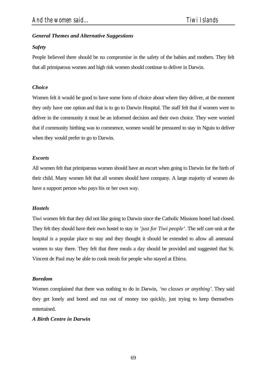# *General Themes and Alternative Suggestions*

# *Safety*

People believed there should be no compromise in the safety of the babies and mothers. They felt that all primiparous women and high risk women should continue to deliver in Darwin.

# *Choice*

Women felt it would be good to have some form of choice about where they deliver, at the moment they only have one option and that is to go to Darwin Hospital. The staff felt that if women were to deliver in the community it must be an informed decision and their own choice. They were worried that if community birthing was to commence, women would be pressured to stay in Nguiu to deliver when they would prefer to go to Darwin.

# *Escorts*

All women felt that primiparous women should have an escort when going to Darwin for the birth of their child. Many women felt that all women should have company. A large majority of women do have a support person who pays his or her own way.

# *Hostels*

Tiwi women felt that they did not like going to Darwin since the Catholic Missions hostel had closed. They felt they should have their own hostel to stay in *'just for Tiwi people'*. The self care unit at the hospital is a popular place to stay and they thought it should be extended to allow all antenatal women to stay there. They felt that three meals a day should be provided and suggested that St. Vincent de Paul may be able to cook meals for people who stayed at Ebirra.

# *Boredom*

Women complained that there was nothing to do in Darwin, *'no classes or anything'*. They said they get lonely and bored and run out of money too quickly, just trying to keep themselves entertained.

# *A Birth Centre in Darwin*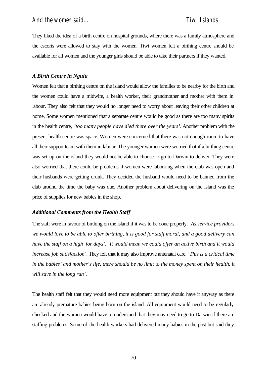They liked the idea of a birth centre on hospital grounds, where there was a family atmosphere and the escorts were allowed to stay with the women. Tiwi women felt a birthing centre should be available for all women and the younger girls should be able to take their partners if they wanted.

# *A Birth Centre in Nguiu*

Women felt that a birthing centre on the island would allow the families to be nearby for the birth and the women could have a midwife, a health worker, their grandmother and mother with them in labour. They also felt that they would no longer need to worry about leaving their other children at home. Some women mentioned that a separate centre would be good as there are too many spirits in the health centre, *'too many people have died there over the years'*. Another problem with the present health centre was space. Women were concerned that there was not enough room to have all their support team with them in labour. The younger women were worried that if a birthing centre was set up on the island they would not be able to choose to go to Darwin to deliver. They were also worried that there could be problems if women were labouring when the club was open and their husbands were getting drunk. They decided the husband would need to be banned from the club around the time the baby was due. Another problem about delivering on the island was the price of supplies for new babies in the shop.

# *Additional Comments from the Health Staff*

The staff were in favour of birthing on the island if it was to be done properly. *'As service providers we would love to be able to offer birthing, it is good for staff moral, and a good delivery can have the staff on a high for days'. 'It would mean we could offer an active birth and it would increase job satisfaction'*. They felt that it may also improve antenatal care. *'This is a critical time in the babies' and mother's life, there should be no limit to the money spent on their health, it will save in the long run'*.

The health staff felt that they would need more equipment but they should have it anyway as there are already premature babies being born on the island. All equipment would need to be regularly checked and the women would have to understand that they may need to go to Darwin if there are staffing problems. Some of the health workers had delivered many babies in the past but said they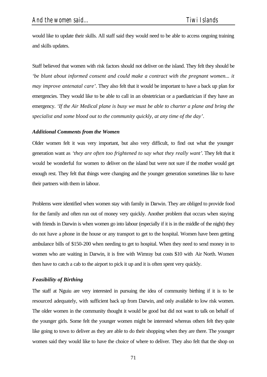would like to update their skills. All staff said they would need to be able to access ongoing training and skills updates.

Staff believed that women with risk factors should not deliver on the island. They felt they should be *be blunt about informed consent and could make a contract with the pregnant women... it may improve antenatal care'*. They also felt that it would be important to have a back up plan for emergencies. They would like to be able to call in an obstetrician or a paediatrician if they have an emergency. *'If the Air Medical plane is busy we must be able to charter a plane and bring the specialist and some blood out to the community quickly, at any time of the day'*.

### *Additional Comments from the Women*

Older women felt it was very important, but also very difficult, to find out what the younger generation want as *'they are often too frightened to say what they really want'*. They felt that it would be wonderful for women to deliver on the island but were not sure if the mother would get enough rest. They felt that things were changing and the younger generation sometimes like to have their partners with them in labour.

Problems were identified when women stay with family in Darwin. They are obliged to provide food for the family and often run out of money very quickly. Another problem that occurs when staying with friends in Darwin is when women go into labour (especially if it is in the middle of the night) they do not have a phone in the house or any transport to get to the hospital. Women have been getting ambulance bills of \$150-200 when needing to get to hospital. When they need to send money in to women who are waiting in Darwin, it is free with Wimray but costs \$10 with Air North. Women then have to catch a cab to the airport to pick it up and it is often spent very quickly.

### *Feasibility of Birthing*

The staff at Nguiu are very interested in pursuing the idea of community birthing if it is to be resourced adequately, with sufficient back up from Darwin, and only available to low risk women. The older women in the community thought it would be good but did not want to talk on behalf of the younger girls. Some felt the younger women might be interested whereas others felt they quite like going to town to deliver as they are able to do their shopping when they are there. The younger women said they would like to have the choice of where to deliver. They also felt that the shop on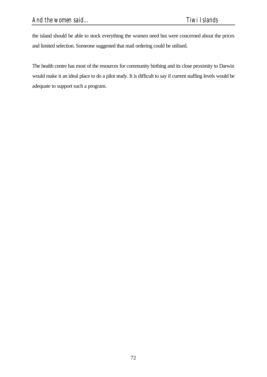the island should be able to stock everything the women need but were concerned about the prices and limited selection. Someone suggested that mail ordering could be utilised.

The health centre has most of the resources for community birthing and its close proximity to Darwin would make it an ideal place to do a pilot study. It is difficult to say if current staffing levels would be adequate to support such a program.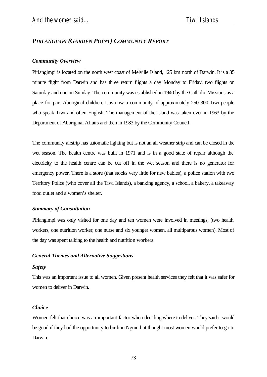# *PIRLANGIMPI (GARDEN POINT) COMMUNITY REPORT*

### *Community Overview*

Pirlangimpi is located on the north west coast of Melville Island, 125 km north of Darwin. It is a 35 minute flight from Darwin and has three return flights a day Monday to Friday, two flights on Saturday and one on Sunday. The community was established in 1940 by the Catholic Missions as a place for part-Aboriginal children. It is now a community of approximately 250-300 Tiwi people who speak Tiwi and often English. The management of the island was taken over in 1963 by the Department of Aboriginal Affairs and then in 1983 by the Community Council .

The community airstrip has automatic lighting but is not an all weather strip and can be closed in the wet season. The health centre was built in 1971 and is in a good state of repair although the electricity to the health centre can be cut off in the wet season and there is no generator for emergency power. There is a store (that stocks very little for new babies), a police station with two Territory Police (who cover all the Tiwi Islands), a banking agency, a school, a bakery, a takeaway food outlet and a women's shelter.

# *Summary of Consultation*

Pirlangimpi was only visited for one day and ten women were involved in meetings, (two health workers, one nutrition worker, one nurse and six younger women, all multiparous women). Most of the day was spent talking to the health and nutrition workers.

### *General Themes and Alternative Suggestions*

### *Safety*

This was an important issue to all women. Given present health services they felt that it was safer for women to deliver in Darwin.

### *Choice*

Women felt that choice was an important factor when deciding where to deliver. They said it would be good if they had the opportunity to birth in Nguiu but thought most women would prefer to go to Darwin.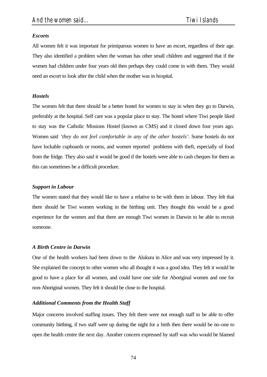# *Escorts*

All women felt it was important for primiparous women to have an escort, regardless of their age. They also identified a problem when the woman has other small children and suggested that if the women had children under four years old then perhaps they could come in with them. They would need an escort to look after the child when the mother was in hospital.

# *Hostels*

The women felt that there should be a better hostel for women to stay in when they go to Darwin, preferably at the hospital. Self care was a popular place to stay. The hostel where Tiwi people liked to stay was the Catholic Missions Hostel (known as CMS) and it closed down four years ago. Women said *'they do not feel comfortable in any of the other hostels'*. Some hostels do not have lockable cupboards or rooms, and women reported problems with theft, especially of food from the fridge. They also said it would be good if the hostels were able to cash cheques for them as this can sometimes be a difficult procedure.

# *Support in Labour*

The women stated that they would like to have a relative to be with them in labour. They felt that there should be Tiwi women working in the birthing unit. They thought this would be a good experience for the women and that there are enough Tiwi women in Darwin to be able to recruit someone.

# *A Birth Centre in Darwin*

One of the health workers had been down to the Alukura in Alice and was very impressed by it. She explained the concept to other women who all thought it was a good idea. They felt it would be good to have a place for all women, and could have one side for Aboriginal women and one for non-Aboriginal women. They felt it should be close to the hospital.

# *Additional Comments from the Health Staff*

Major concerns involved staffing issues. They felt there were not enough staff to be able to offer community birthing, if two staff were up during the night for a birth then there would be no-one to open the health centre the next day. Another concern expressed by staff was who would be blamed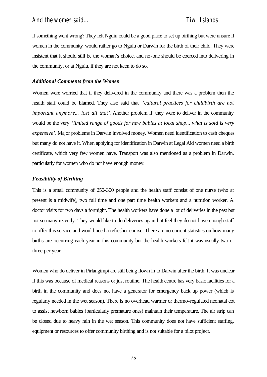if something went wrong? They felt Nguiu could be a good place to set up birthing but were unsure if women in the community would rather go to Nguiu or Darwin for the birth of their child. They were insistent that it should still be the woman's choice, and no-one should be coerced into delivering in the community, or at Nguiu, if they are not keen to do so.

### *Additional Comments from the Women*

Women were worried that if they delivered in the community and there was a problem then the health staff could be blamed. They also said that *'cultural practices for childbirth are not important anymore... lost all that'*. Another problem if they were to deliver in the community would be the very *'limited range of goods for new babies at local shop... what is sold is very expensive'*. Major problems in Darwin involved money. Women need identification to cash cheques but many do not have it. When applying for identification in Darwin at Legal Aid women need a birth certificate, which very few women have. Transport was also mentioned as a problem in Darwin, particularly for women who do not have enough money.

### *Feasibility of Birthing*

This is a small community of 250-300 people and the health staff consist of one nurse (who at present is a midwife), two full time and one part time health workers and a nutrition worker. A doctor visits for two days a fortnight. The health workers have done a lot of deliveries in the past but not so many recently. They would like to do deliveries again but feel they do not have enough staff to offer this service and would need a refresher course. There are no current statistics on how many births are occurring each year in this community but the health workers felt it was usually two or three per year.

Women who do deliver in Pirlangimpi are still being flown in to Darwin after the birth. It was unclear if this was because of medical reasons or just routine. The health centre has very basic facilities for a birth in the community and does not have a generator for emergency back up power (which is regularly needed in the wet season). There is no overhead warmer or thermo-regulated neonatal cot to assist newborn babies (particularly premature ones) maintain their temperature. The air strip can be closed due to heavy rain in the wet season. This community does not have sufficient staffing, equipment or resources to offer community birthing and is not suitable for a pilot project.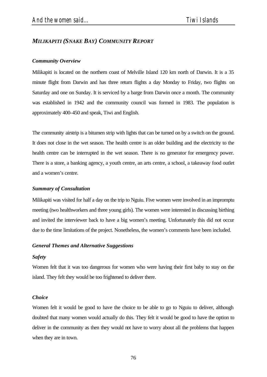# *MILIKAPITI (SNAKE BAY) COMMUNITY REPORT*

### *Community Overview*

Milikapiti is located on the northern coast of Melville Island 120 km north of Darwin. It is a 35 minute flight from Darwin and has three return flights a day Monday to Friday, two flights on Saturday and one on Sunday. It is serviced by a barge from Darwin once a month. The community was established in 1942 and the community council was formed in 1983. The population is approximately 400-450 and speak, Tiwi and English.

The community airstrip is a bitumen strip with lights that can be turned on by a switch on the ground. It does not close in the wet season. The health centre is an older building and the electricity to the health centre can be interrupted in the wet season. There is no generator for emergency power. There is a store, a banking agency, a youth centre, an arts centre, a school, a takeaway food outlet and a women's centre.

### *Summary of Consultation*

Milikapiti was visited for half a day on the trip to Nguiu. Five women were involved in an impromptu meeting (two healthworkers and three young girls). The women were interested in discussing birthing and invited the interviewer back to have a big women's meeting. Unfortunately this did not occur due to the time limitations of the project. Nonetheless, the women's comments have been included.

### *General Themes and Alternative Suggestions*

### *Safety*

Women felt that it was too dangerous for women who were having their first baby to stay on the island. They felt they would be too frightened to deliver there.

### *Choice*

Women felt it would be good to have the choice to be able to go to Nguiu to deliver, although doubted that many women would actually do this. They felt it would be good to have the option to deliver in the community as then they would not have to worry about all the problems that happen when they are in town.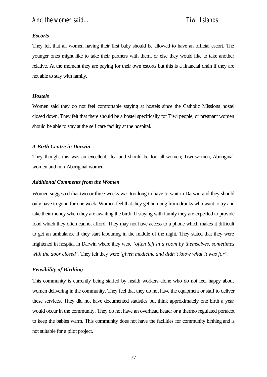# *Escorts*

They felt that all women having their first baby should be allowed to have an official escort. The younger ones might like to take their partners with them, or else they would like to take another relative. At the moment they are paying for their own escorts but this is a financial drain if they are not able to stay with family.

# *Hostels*

Women said they do not feel comfortable staying at hostels since the Catholic Missions hostel closed down. They felt that there should be a hostel specifically for Tiwi people, or pregnant women should be able to stay at the self care facility at the hospital.

# *A Birth Centre in Darwin*

They thought this was an excellent idea and should be for all women; Tiwi women, Aboriginal women and non-Aboriginal women.

# *Additional Comments from the Women*

Women suggested that two or three weeks was too long to have to wait in Darwin and they should only have to go in for one week. Women feel that they get humbug from drunks who want to try and take their money when they are awaiting the birth. If staying with family they are expected to provide food which they often cannot afford. They may not have access to a phone which makes it difficult to get an ambulance if they start labouring in the middle of the night. They stated that they were frightened in hospital in Darwin where they were *'often left in a room by themselves, sometimes with the door closed'.* They felt they were *'given medicine and didn't know what it was for'*.

# *Feasibility of Birthing*

This community is currently being staffed by health workers alone who do not feel happy about women delivering in the community. They feel that they do not have the equipment or staff to deliver these services. They did not have documented statistics but think approximately one birth a year would occur in the community. They do not have an overhead heater or a thermo regulated portacot to keep the babies warm. This community does not have the facilities for community birthing and is not suitable for a pilot project.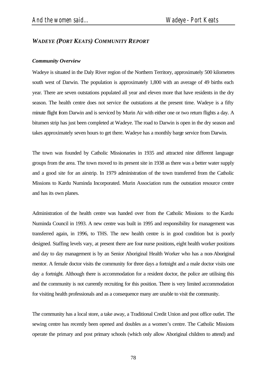# *WADEYE (PORT KEATS) COMMUNITY REPORT*

### *Community Overview*

Wadeye is situated in the Daly River region of the Northern Territory, approximately 500 kilometres south west of Darwin. The population is approximately 1,800 with an average of 49 births each year. There are seven outstations populated all year and eleven more that have residents in the dry season. The health centre does not service the outstations at the present time. Wadeye is a fifty minute flight from Darwin and is serviced by Murin Air with either one or two return flights a day. A bitumen strip has just been completed at Wadeye. The road to Darwin is open in the dry season and takes approximately seven hours to get there. Wadeye has a monthly barge service from Darwin.

The town was founded by Catholic Missionaries in 1935 and attracted nine different language groups from the area. The town moved to its present site in 1938 as there was a better water supply and a good site for an airstrip. In 1979 administration of the town transferred from the Catholic Missions to Kardu Numinda Incorporated. Murin Association runs the outstation resource centre and has its own planes.

Administration of the health centre was handed over from the Catholic Missions to the Kardu Numinda Council in 1993. A new centre was built in 1995 and responsibility for management was transferred again, in 1996, to THS. The new health centre is in good condition but is poorly designed. Staffing levels vary, at present there are four nurse positions, eight health worker positions and day to day management is by an Senior Aboriginal Health Worker who has a non-Aboriginal mentor. A female doctor visits the community for three days a fortnight and a male doctor visits one day a fortnight. Although there is accommodation for a resident doctor, the police are utilising this and the community is not currently recruiting for this position. There is very limited accommodation for visiting health professionals and as a consequence many are unable to visit the community.

The community has a local store, a take away, a Traditional Credit Union and post office outlet. The sewing centre has recently been opened and doubles as a women's centre. The Catholic Missions operate the primary and post primary schools (which only allow Aboriginal children to attend) and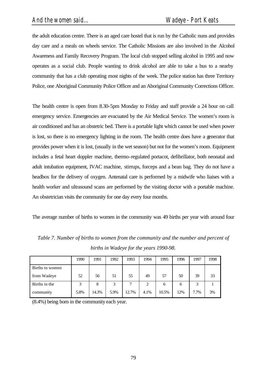the adult education centre. There is an aged care hostel that is run by the Catholic nuns and provides day care and a meals on wheels service. The Catholic Missions are also involved in the Alcohol Awareness and Family Recovery Program. The local club stopped selling alcohol in 1995 and now operates as a social club. People wanting to drink alcohol are able to take a bus to a nearby community that has a club operating most nights of the week. The police station has three Territory Police, one Aboriginal Community Police Officer and an Aboriginal Community Corrections Officer.

The health centre is open from 8.30-5pm Monday to Friday and staff provide a 24 hour on call emergency service. Emergencies are evacuated by the Air Medical Service. The women's room is air conditioned and has an obstetric bed. There is a portable light which cannot be used when power is lost, so there is no emergency lighting in the room. The health centre does have a generator that provides power when it is lost, (usually in the wet season) but not for the women's room. Equipment includes a fetal heart doppler machine, thermo-regulated portacot, defibrillator, both neonatal and adult intubation equipment, IVAC machine, stirrups, forceps and a bean bag. They do not have a headbox for the delivery of oxygen. Antenatal care is performed by a midwife who liaises with a health worker and ultrasound scans are performed by the visiting doctor with a portable machine. An obstetrician visits the community for one day every four months.

The average number of births to women in the community was 49 births per year with around four

|                 | 1990 | 1991  | 1992 | 1993  | 1994 | 1995  | 1996 | 1997 | 1998 |
|-----------------|------|-------|------|-------|------|-------|------|------|------|
| Births to women |      |       |      |       |      |       |      |      |      |
| from Wadeye     | 52   | 56    | 51   | 55    | 49   | 57    | 50   | 39   | 33   |
| Births in the   | 3    | 8     | 3    | 7     | 2    | 6     | 6    | 3    |      |
| community       | 5.8% | 14.3% | 5.9% | 12.7% | 4.1% | 10.5% | 12%  | 7.7% | 3%   |

*Table 7. Number of births to women from the community and the number and percent of births in Wadeye for the years 1990-98.*

(8.4%) being born in the community each year.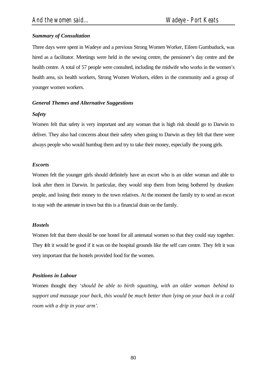# *Summary of Consultation*

Three days were spent in Wadeye and a previous Strong Women Worker, Eileen Gumbuduck, was hired as a facilitator. Meetings were held in the sewing centre, the pensioner's day centre and the health centre. A total of 57 people were consulted, including the midwife who works in the women's health area, six health workers, Strong Women Workers, elders in the community and a group of younger women workers.

# *General Themes and Alternative Suggestions*

# *Safety*

Women felt that safety is very important and any woman that is high risk should go to Darwin to deliver. They also had concerns about their safety when going to Darwin as they felt that there were always people who would humbug them and try to take their money, especially the young girls.

# *Escorts*

Women felt the younger girls should definitely have an escort who is an older woman and able to look after them in Darwin. In particular, they would stop them from being bothered by drunken people, and losing their money to the town relatives. At the moment the family try to send an escort to stay with the antenate in town but this is a financial drain on the family.

# *Hostels*

Women felt that there should be one hostel for all antenatal women so that they could stay together. They felt it would be good if it was on the hospital grounds like the self care centre. They felt it was very important that the hostels provided food for the women.

# *Positions in Labour*

Women thought they *'should be able to birth squatting, with an older woman behind to support and massage your back, this would be much better than lying on your back in a cold room with a drip in your arm'*.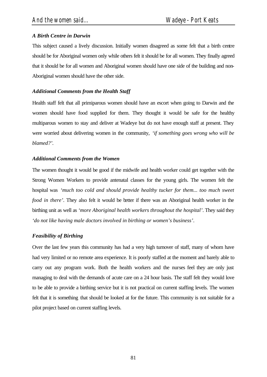# *A Birth Centre in Darwin*

This subject caused a lively discussion. Initially women disagreed as some felt that a birth centre should be for Aboriginal women only while others felt it should be for all women. They finally agreed that it should be for all women and Aboriginal women should have one side of the building and non-Aboriginal women should have the other side.

# *Additional Comments from the Health Staff*

Health staff felt that all primiparous women should have an escort when going to Darwin and the women should have food supplied for them. They thought it would be safe for the healthy multiparous women to stay and deliver at Wadeye but do not have enough staff at present. They were worried about delivering women in the community, *'if something goes wrong who will be blamed?'.*

### *Additional Comments from the Women*

The women thought it would be good if the midwife and health worker could get together with the Strong Women Workers to provide antenatal classes for the young girls. The women felt the hospital was *'much too cold and should provide healthy tucker for them... too much sweet food in there'*. They also felt it would be better if there was an Aboriginal health worker in the birthing unit as well as *'more Aboriginal health workers throughout the hospital'*. They said they *'do not like having male doctors involved in birthing or women's business'*.

# *Feasibility of Birthing*

Over the last few years this community has had a very high turnover of staff, many of whom have had very limited or no remote area experience. It is poorly staffed at the moment and barely able to carry out any program work. Both the health workers and the nurses feel they are only just managing to deal with the demands of acute care on a 24 hour basis. The staff felt they would love to be able to provide a birthing service but it is not practical on current staffing levels. The women felt that it is something that should be looked at for the future. This community is not suitable for a pilot project based on current staffing levels.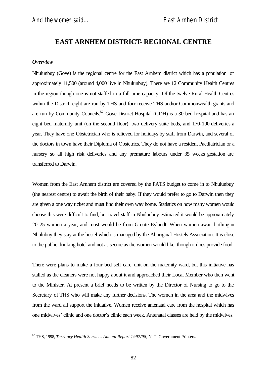# **EAST ARNHEM DISTRICT- REGIONAL CENTRE**

### *Overview*

l

Nhulunbuy (Gove) is the regional centre for the East Arnhem district which has a population of approximately 11,500 (around 4,000 live in Nhulunbuy). There are 12 Community Health Centres in the region though one is not staffed in a full time capacity. Of the twelve Rural Health Centres within the District, eight are run by THS and four receive THS and/or Commonwealth grants and are run by Community Councils.<sup>57</sup> Gove District Hospital (GDH) is a 30 bed hospital and has an eight bed maternity unit (on the second floor), two delivery suite beds, and 170-190 deliveries a year. They have one Obstetrician who is relieved for holidays by staff from Darwin, and several of the doctors in town have their Diploma of Obstetrics. They do not have a resident Paediatrician or a nursery so all high risk deliveries and any premature labours under 35 weeks gestation are transferred to Darwin.

Women from the East Arnhem district are covered by the PATS budget to come in to Nhulunbuy (the nearest centre) to await the birth of their baby. If they would prefer to go to Darwin then they are given a one way ticket and must find their own way home. Statistics on how many women would choose this were difficult to find, but travel staff in Nhulunbuy estimated it would be approximately 20-25 women a year, and most would be from Groote Eylandt. When women await birthing in Nhulnbuy they stay at the hostel which is managed by the Aboriginal Hostels Association. It is close to the public drinking hotel and not as secure as the women would like, though it does provide food.

There were plans to make a four bed self care unit on the maternity ward, but this initiative has stalled as the cleaners were not happy about it and approached their Local Member who then went to the Minister. At present a brief needs to be written by the Director of Nursing to go to the Secretary of THS who will make any further decisions. The women in the area and the midwives from the ward all support the initiative. Women receive antenatal care from the hospital which has one midwives' clinic and one doctor's clinic each week. Antenatal classes are held by the midwives.

<sup>57</sup> THS, 1998, *Territory Health Services Annual Report 1997/98,* N. T. Government Printers.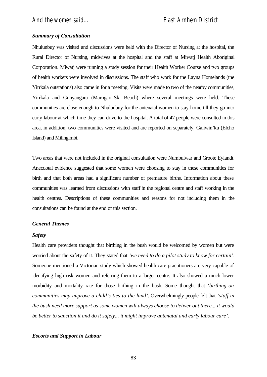# *Summary of Consultation*

Nhulunbuy was visited and discussions were held with the Director of Nursing at the hospital, the Rural Director of Nursing, midwives at the hospital and the staff at Miwatj Health Aboriginal Corporation. Miwatj were running a study session for their Health Worker Course and two groups of health workers were involved in discussions. The staff who work for the Layna Homelands (the Yirrkala outstations) also came in for a meeting. Visits were made to two of the nearby communities, Yirrkala and Gunyangara (Marngarr-Ski Beach) where several meetings were held. These communities are close enough to Nhulunbuy for the antenatal women to stay home till they go into early labour at which time they can drive to the hospital. A total of 47 people were consulted in this area, in addition, two communities were visited and are reported on separately, Galiwin'ku (Elcho Island) and Milingimbi.

Two areas that were not included in the original consultation were Numbulwar and Groote Eylandt. Anecdotal evidence suggested that some women were choosing to stay in these communities for birth and that both areas had a significant number of premature births. Information about these communities was learned from discussions with staff in the regional centre and staff working in the health centres. Descriptions of these communities and reasons for not including them in the consultations can be found at the end of this section.

# *General Themes*

# *Safety*

Health care providers thought that birthing in the bush would be welcomed by women but were worried about the safety of it. They stated that *'we need to do a pilot study to know for certain'*. Someone mentioned a Victorian study which showed health care practitioners are very capable of identifying high risk women and referring them to a larger centre. It also showed a much lower morbidity and mortality rate for those birthing in the bush. Some thought that *'birthing on communities may improve a child's ties to the land'*. Overwhelmingly people felt that *'staff in the bush need more support as some women will always choose to deliver out there... it would be better to sanction it and do it safely... it might improve antenatal and early labour care'*.

# *Escorts and Support in Labour*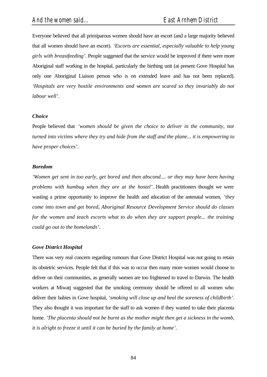Everyone believed that all primiparous women should have an escort (and a large majority believed that all women should have an escort). *'Escorts are essential, especially valuable to help young girls with breastfeeding'*. People suggested that the service would be improved if there were more Aboriginal staff working in the hospital, particularly the birthing unit (at present Gove Hospital has only one Aboriginal Liaison person who is on extended leave and has not been replaced). *'Hospitals are very hostile environments and women are scared so they invariably do not labour well'*.

#### *Choice*

People believed that *'women should be given the choice to deliver in the community, not turned into victims where they try and hide from the staff and the plane... it is empowering to have proper choices'*.

#### *Boredom*

*'Women get sent in too early, get bored and then abscond.... or they may have been having problems with humbug when they are at the hostel'*. Health practitioners thought we were wasting a prime opportunity to improve the health and education of the antenatal women, *'they come into town and get bored, Aboriginal Resource Development Service should do classes for the women and teach escorts what to do when they are support people... the training could go out to the homelands'*.

#### *Gove District Hospital*

There was very real concern regarding rumours that Gove District Hospital was not going to retain its obstetric services. People felt that if this was to occur then many more women would choose to deliver on their communities, as generally women are too frightened to travel to Darwin. The health workers at Miwatj suggested that the smoking ceremony should be offered to all women who deliver their babies in Gove hospital, *'smoking will close up and heal the soreness of childbirth'*. They also thought it was important for the staff to ask women if they wanted to take their placenta home. *'The placenta should not be burnt as the mother might then get a sickness in the womb, it is alright to freeze it until it can be buried by the family at home'*.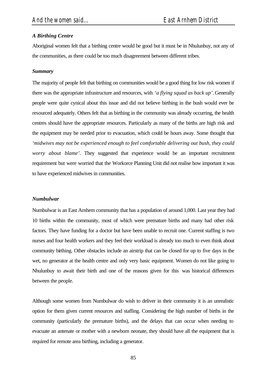### *A Birthing Centre*

Aboriginal women felt that a birthing centre would be good but it must be in Nhulunbuy, not any of the communities, as there could be too much disagreement between different tribes.

#### *Summary*

The majority of people felt that birthing on communities would be a good thing for low risk women if there was the appropriate infrastructure and resources, with *'a flying squad as back up'*. Generally people were quite cynical about this issue and did not believe birthing in the bush would ever be resourced adequately. Others felt that as birthing in the community was already occurring, the health centres should have the appropriate resources. Particularly as many of the births are high risk and the equipment may be needed prior to evacuation, which could be hours away. Some thought that *'midwives may not be experienced enough to feel comfortable delivering out bush, they could worry about blame'*. They suggested that experience would be an important recruitment requirement but were worried that the Workorce Planning Unit did not realise how important it was to have experienced midwives in communities.

#### *Numbulwar*

Numbulwar is an East Arnhem community that has a population of around 1,000. Last year they had 10 births within the community, most of which were premature births and many had other risk factors. They have funding for a doctor but have been unable to recruit one. Current staffing is two nurses and four health workers and they feel their workload is already too much to even think about community birthing. Other obstacles include an airstrip that can be closed for up to five days in the wet, no generator at the health centre and only very basic equipment. Women do not like going to Nhulunbuy to await their birth and one of the reasons given for this was historical differences between the people.

Although some women from Numbulwar do wish to deliver in their community it is an unrealistic option for them given current resources and staffing. Considering the high number of births in the community (particularly the premature births), and the delays that can occur when needing to evacuate an antenate or mother with a newborn neonate, they should have all the equipment that is required for remote area birthing, including a generator.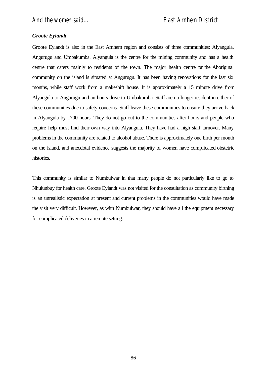# *Groote Eylandt*

Groote Eylandt is also in the East Arnhem region and consists of three communities: Alyangula, Angurugu and Umbakumba. Alyangula is the centre for the mining community and has a health centre that caters mainly to residents of the town. The major health centre for the Aboriginal community on the island is situated at Angurugu. It has been having renovations for the last six months, while staff work from a makeshift house. It is approximately a 15 minute drive from Alyangula to Angurugu and an hours drive to Umbakumba. Staff are no longer resident in either of these communities due to safety concerns. Staff leave these communities to ensure they arrive back in Alyangula by 1700 hours. They do not go out to the communities after hours and people who require help must find their own way into Alyangula. They have had a high staff turnover. Many problems in the community are related to alcohol abuse. There is approximately one birth per month on the island, and anecdotal evidence suggests the majority of women have complicated obstetric histories.

This community is similar to Numbulwar in that many people do not particularly like to go to Nhulunbuy for health care. Groote Eylandt was not visited for the consultation as community birthing is an unrealistic expectation at present and current problems in the communities would have made the visit very difficult. However, as with Numbulwar, they should have all the equipment necessary for complicated deliveries in a remote setting.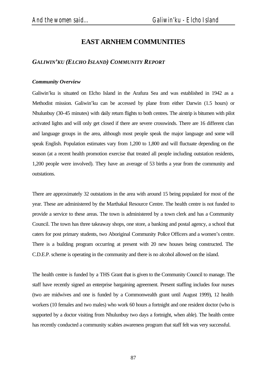# **EAST ARNHEM COMMUNITIES**

# *GALIWIN'KU (ELCHO ISLAND) COMMUNITY REPORT*

### *Community Overview*

Galiwin'ku is situated on Elcho Island in the Arafura Sea and was established in 1942 as a Methodist mission. Galiwin'ku can be accessed by plane from either Darwin (1.5 hours) or Nhulunbuy (30-45 minutes) with daily return flights to both centres. The airstrip is bitumen with pilot activated lights and will only get closed if there are severe crosswinds. There are 16 different clan and language groups in the area, although most people speak the major language and some will speak English. Population estimates vary from 1,200 to 1,800 and will fluctuate depending on the season (at a recent health promotion exercise that treated all people including outstation residents, 1,200 people were involved). They have an average of 53 births a year from the community and outstations.

There are approximately 32 outstations in the area with around 15 being populated for most of the year. These are administered by the Marthakal Resource Centre. The health centre is not funded to provide a service to these areas. The town is administered by a town clerk and has a Community Council. The town has three takeaway shops, one store, a banking and postal agency, a school that caters for post primary students, two Aboriginal Community Police Officers and a women's centre. There is a building program occurring at present with 20 new houses being constructed. The C.D.E.P. scheme is operating in the community and there is no alcohol allowed on the island.

The health centre is funded by a THS Grant that is given to the Community Council to manage. The staff have recently signed an enterprise bargaining agreement. Present staffing includes four nurses (two are midwives and one is funded by a Commonwealth grant until August 1999), 12 health workers (10 females and two males) who work 60 hours a fortnight and one resident doctor (who is supported by a doctor visiting from Nhulunbuy two days a fortnight, when able). The health centre has recently conducted a community scabies awareness program that staff felt was very successful.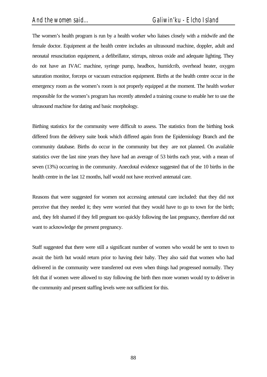The women's health program is run by a health worker who liaises closely with a midwife and the female doctor. Equipment at the health centre includes an ultrasound machine, doppler, adult and neonatal resuscitation equipment, a defibrillator, stirrups, nitrous oxide and adequate lighting. They do not have an IVAC machine, syringe pump, headbox, humidcrib, overhead heater, oxygen saturation monitor, forceps or vacuum extraction equipment. Births at the health centre occur in the emergency room as the women's room is not properly equipped at the moment. The health worker responsible for the women's program has recently attended a training course to enable her to use the ultrasound machine for dating and basic morphology.

Birthing statistics for the community were difficult to assess. The statistics from the birthing book differed from the delivery suite book which differed again from the Epidemiology Branch and the community database. Births do occur in the community but they are not planned. On available statistics over the last nine years they have had an average of 53 births each year, with a mean of seven (13%) occurring in the community. Anecdotal evidence suggested that of the 10 births in the health centre in the last 12 months, half would not have received antenatal care.

Reasons that were suggested for women not accessing antenatal care included: that they did not perceive that they needed it; they were worried that they would have to go to town for the birth; and, they felt shamed if they fell pregnant too quickly following the last pregnancy, therefore did not want to acknowledge the present pregnancy.

Staff suggested that there were still a significant number of women who would be sent to town to await the birth but would return prior to having their baby. They also said that women who had delivered in the community were transferred out even when things had progressed normally. They felt that if women were allowed to stay following the birth then more women would try to deliver in the community and present staffing levels were not sufficient for this.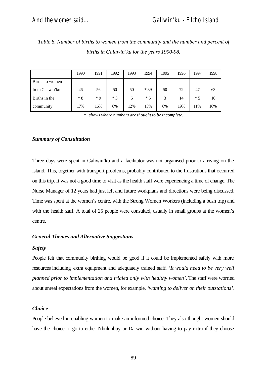Births to women

Births in the community

| births in Galawin' ku for the years 1990-98. |      |      |      |      |      |      |      |      |      |  |
|----------------------------------------------|------|------|------|------|------|------|------|------|------|--|
|                                              |      |      |      |      |      |      |      |      |      |  |
|                                              | 1990 | 1991 | 1992 | 1993 | 1994 | 1995 | 1996 | 1997 | 1998 |  |

from Galiwin'ku 46 56 50 50 \* 39 50 72 47 63

\* 3 6%

*Table 8. Number of births to women from the community and the number and percent of* 

*\* shows where numbers are thought to be incomplete.*

6 12%

\* 5 13%

3 6%

14 19%

\* 5 11%

10 16%

### *Summary of Consultation*

\* 8 17%

\* 9 16%

Three days were spent in Galiwin'ku and a facilitator was not organised prior to arriving on the island. This, together with transport problems, probably contributed to the frustrations that occurred on this trip. It was not a good time to visit as the health staff were experiencing a time of change. The Nurse Manager of 12 years had just left and future workplans and directions were being discussed. Time was spent at the women's centre, with the Strong Women Workers (including a bush trip) and with the health staff. A total of 25 people were consulted, usually in small groups at the women's centre.

### *General Themes and Alternative Suggestions*

#### *Safety*

People felt that community birthing would be good if it could be implemented safely with more resources including extra equipment and adequately trained staff*. 'It would need to be very well planned prior to implementation and trialed only with healthy women'*. The staff were worried about unreal expectations from the women, for example, *'wanting to deliver on their outstations'*.

#### *Choice*

People believed in enabling women to make an informed choice. They also thought women should have the choice to go to either Nhulunbuy or Darwin without having to pay extra if they choose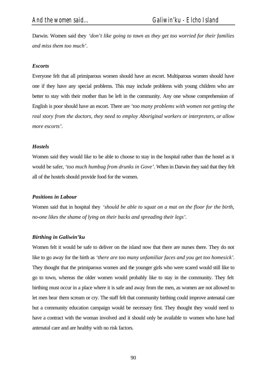Darwin. Women said they *'don't like going to town as they get too worried for their families and miss them too much'*.

### *Escorts*

Everyone felt that all primiparous women should have an escort. Multiparous women should have one if they have any special problems. This may include problems with young children who are better to stay with their mother than be left in the community. Any one whose comprehension of English is poor should have an escort. There are *'too many problems with women not getting the real story from the doctors, they need to employ Aboriginal workers or interpreters, or allow more escorts'*.

#### *Hostels*

Women said they would like to be able to choose to stay in the hospital rather than the hostel as it would be safer, *'too much humbug from drunks in Gove'*. When in Darwin they said that they felt all of the hostels should provide food for the women.

#### *Positions in Labour*

Women said that in hospital they *'should be able to squat on a mat on the floor for the birth, no-one likes the shame of lying on their backs and spreading their legs'.*

#### *Birthing in Galiwin'ku*

Women felt it would be safe to deliver on the island now that there are nurses there. They do not like to go away for the birth as *'there are too many unfamiliar faces and you get too homesick'*. They thought that the primiparous women and the younger girls who were scared would still like to go to town, whereas the older women would probably like to stay in the community. They felt birthing must occur in a place where it is safe and away from the men, as women are not allowed to let men hear them scream or cry. The staff felt that community birthing could improve antenatal care but a community education campaign would be necessary first. They thought they would need to have a contract with the woman involved and it should only be available to women who have had antenatal care and are healthy with no risk factors.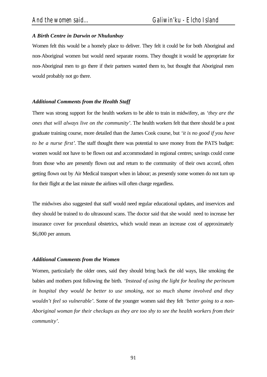# *A Birth Centre in Darwin or Nhulunbuy*

Women felt this would be a homely place to deliver. They felt it could be for both Aboriginal and non-Aboriginal women but would need separate rooms. They thought it would be appropriate for non-Aboriginal men to go there if their partners wanted them to, but thought that Aboriginal men would probably not go there.

### *Additional Comments from the Health Staff*

There was strong support for the health workers to be able to train in midwifery, as *'they are the ones that will always live on the community'*. The health workers felt that there should be a post graduate training course, more detailed than the James Cook course, but *'it is no good if you have to be a nurse first'*. The staff thought there was potential to save money from the PATS budget: women would not have to be flown out and accommodated in regional centres; savings could come from those who are presently flown out and return to the community of their own accord, often getting flown out by Air Medical transport when in labour; as presently some women do not turn up for their flight at the last minute the airlines will often charge regardless.

The midwives also suggested that staff would need regular educational updates, and inservices and they should be trained to do ultrasound scans. The doctor said that she would need to increase her insurance cover for procedural obstetrics, which would mean an increase cost of approximately \$6,000 per annum.

### *Additional Comments from the Women*

Women, particularly the older ones, said they should bring back the old ways, like smoking the babies and mothers post following the birth. *'Instead of using the light for healing the perineum*  in hospital they would be better to use smoking, not so much shame involved and they *wouldn't feel so vulnerable'*. Some of the younger women said they felt *'better going to a non-Aboriginal woman for their checkups as they are too shy to see the health workers from their community'*.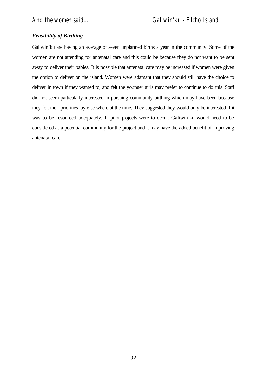# *Feasibility of Birthing*

Galiwin'ku are having an average of seven unplanned births a year in the community. Some of the women are not attending for antenatal care and this could be because they do not want to be sent away to deliver their babies. It is possible that antenatal care may be increased if women were given the option to deliver on the island. Women were adamant that they should still have the choice to deliver in town if they wanted to, and felt the younger girls may prefer to continue to do this. Staff did not seem particularly interested in pursuing community birthing which may have been because they felt their priorities lay else where at the time. They suggested they would only be interested if it was to be resourced adequately. If pilot projects were to occur, Galiwin'ku would need to be considered as a potential community for the project and it may have the added benefit of improving antenatal care.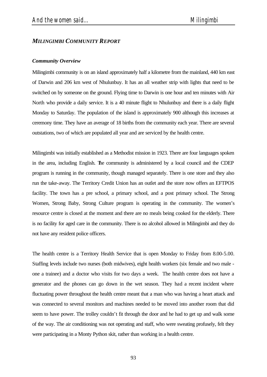# *MILINGIMBI COMMUNITY REPORT*

### *Community Overview*

Milingimbi community is on an island approximately half a kilometre from the mainland, 440 km east of Darwin and 206 km west of Nhulunbuy. It has an all weather strip with lights that need to be switched on by someone on the ground. Flying time to Darwin is one hour and ten minutes with Air North who provide a daily service. It is a 40 minute flight to Nhulunbuy and there is a daily flight Monday to Saturday. The population of the island is approximately 900 although this increases at ceremony time. They have an average of 18 births from the community each year. There are several outstations, two of which are populated all year and are serviced by the health centre.

Milingimbi was initially established as a Methodist mission in 1923. There are four languages spoken in the area, including English. The community is administered by a local council and the CDEP program is running in the community, though managed separately. There is one store and they also run the take-away. The Territory Credit Union has an outlet and the store now offers an EFTPOS facility. The town has a pre school, a primary school, and a post primary school. The Strong Women, Strong Baby, Strong Culture program is operating in the community. The women's resource centre is closed at the moment and there are no meals being cooked for the elderly. There is no facility for aged care in the community. There is no alcohol allowed in Milingimbi and they do not have any resident police officers.

The health centre is a Territory Health Service that is open Monday to Friday from 8.00-5.00. Staffing levels include two nurses (both midwives), eight health workers (six female and two male one a trainee) and a doctor who visits for two days a week. The health centre does not have a generator and the phones can go down in the wet season. They had a recent incident where fluctuating power throughout the health centre meant that a man who was having a heart attack and was connected to several monitors and machines needed to be moved into another room that did seem to have power. The trolley couldn't fit through the door and he had to get up and walk some of the way. The air conditioning was not operating and staff, who were sweating profusely, felt they were participating in a Monty Python skit, rather than working in a health centre.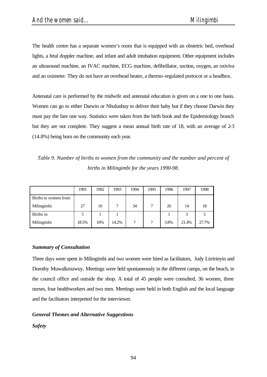The health centre has a separate women's room that is equipped with an obstetric bed, overhead lights, a fetal doppler machine, and infant and adult intubation equipment. Other equipment includes an ultrasound machine, an IVAC machine, ECG machine, defibrillator, suction, oxygen, an oxiviva and an oximeter. They do not have an overhead heater, a thermo-regulated portocot or a headbox.

Antenatal care is performed by the midwife and antenatal education is given on a one to one basis. Women can go to either Darwin or Nhulunbuy to deliver their baby but if they choose Darwin they must pay the fare one way. Statistics were taken from the birth book and the Epidemiology branch but they are not complete. They suggest a mean annual birth rate of 18, with an average of 2-3 (14.8%) being born on the community each year.

*Table 9. Number of births to women from the community and the number and percent of births in Milingimbi for the years 1990-98.*

|                      | 1991  | 1992 | 1993  | 1994                     | 1995 | 1996 | 1997  | 1998  |
|----------------------|-------|------|-------|--------------------------|------|------|-------|-------|
| Births to women from |       |      |       |                          |      |      |       |       |
| Milingimbi           | 27    | 10   |       | 34                       |      | 26   | 14    | 18    |
| Births in            |       |      |       |                          |      |      | 3     |       |
| Milingimbi           | 18.5% | 10%  | 14.2% | $\overline{\mathcal{C}}$ | ?    | 3.8% | 21.4% | 27.7% |

### *Summary of Consultation*

Three days were spent in Milingimbi and two women were hired as facilitators, Judy Lirririnyin and Dorothy Muwalkmuwuy. Meetings were held spontaneously in the different camps, on the beach, in the council office and outside the shop. A total of 45 people were consulted, 36 women, three nurses, four healthworkers and two men. Meetings were held in both English and the local language and the facilitators interpreted for the interviewer.

# *General Themes and Alternative Suggestions*

# *Safety*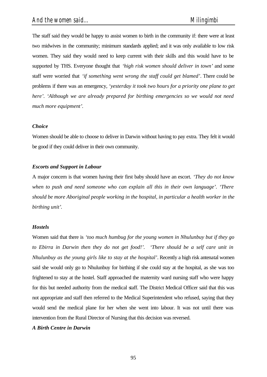The staff said they would be happy to assist women to birth in the community if: there were at least two midwives in the community; minimum standards applied; and it was only available to low risk women. They said they would need to keep current with their skills and this would have to be supported by THS. Everyone thought that *'high risk women should deliver in town'* and some staff were worried that *'if something went wrong the staff could get blamed'*. There could be problems if there was an emergency, *'yesterday it took two hours for a priority one plane to get here'. 'Although we are already prepared for birthing emergencies so we would not need much more equipment'*.

### *Choice*

Women should be able to choose to deliver in Darwin without having to pay extra. They felt it would be good if they could deliver in their own community.

### *Escorts and Support in Labour*

A major concern is that women having their first baby should have an escort. *'They do not know when to push and need someone who can explain all this in their own language'. 'There should be more Aboriginal people working in the hospital, in particular a health worker in the birthing unit'*.

#### *Hostels*

Women said that there is *'too much humbug for the young women in Nhulunbuy but if they go to Ebirra in Darwin then they do not get food!'. 'There should be a self care unit in Nhulunbuy as the young girls like to stay at the hospital'*. Recently a high risk antenatal women said she would only go to Nhulunbuy for birthing if she could stay at the hospital, as she was too frightened to stay at the hostel. Staff approached the maternity ward nursing staff who were happy for this but needed authority from the medical staff. The District Medical Officer said that this was not appropriate and staff then referred to the Medical Superintendent who refused, saying that they would send the medical plane for her when she went into labour. It was not until there was intervention from the Rural Director of Nursing that this decision was reversed.

### *A Birth Centre in Darwin*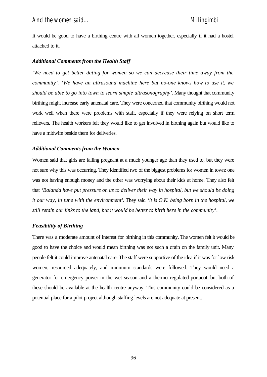It would be good to have a birthing centre with all women together, especially if it had a hostel attached to it.

### *Additional Comments from the Health Staff*

*'We need to get better dating for women so we can decrease their time away from the community'. 'We have an ultrasound machine here but no-one knows how to use it, we should be able to go into town to learn simple ultrasonography'*. Many thought that community birthing might increase early antenatal care. They were concerned that community birthing would not work well when there were problems with staff, especially if they were relying on short term relievers. The health workers felt they would like to get involved in birthing again but would like to have a midwife beside them for deliveries.

### *Additional Comments from the Women*

Women said that girls are falling pregnant at a much younger age than they used to, but they were not sure why this was occurring. They identified two of the biggest problems for women in town: one was not having enough money and the other was worrying about their kids at home. They also felt that *'Balanda have put pressure on us to deliver their way in hospital, but we should be doing it our way, in tune with the environment'*. They said *'it is O.K. being born in the hospital, we still retain our links to the land, but it would be better to birth here in the community'*.

### *Feasibility of Birthing*

There was a moderate amount of interest for birthing in this community. The women felt it would be good to have the choice and would mean birthing was not such a drain on the family unit. Many people felt it could improve antenatal care. The staff were supportive of the idea if it was for low risk women, resourced adequately, and minimum standards were followed. They would need a generator for emergency power in the wet season and a thermo-regulated portacot, but both of these should be available at the health centre anyway. This community could be considered as a potential place for a pilot project although staffing levels are not adequate at present.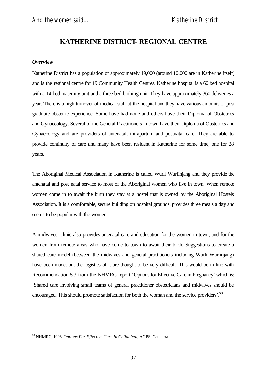# **KATHERINE DISTRICT- REGIONAL CENTRE**

### *Overview*

l

Katherine District has a population of approximately 19,000 (around 10,000 are in Katherine itself) and is the regional centre for 19 Community Health Centres. Katherine hospital is a 60 bed hospital with a 14 bed maternity unit and a three bed birthing unit. They have approximately 360 deliveries a year. There is a high turnover of medical staff at the hospital and they have various amounts of post graduate obstetric experience. Some have had none and others have their Diploma of Obstetrics and Gynaecology. Several of the General Practitioners in town have their Diploma of Obstetrics and Gynaecology and are providers of antenatal, intrapartum and postnatal care. They are able to provide continuity of care and many have been resident in Katherine for some time, one for 28 years.

The Aboriginal Medical Association in Katherine is called Wurli Wurlinjang and they provide the antenatal and post natal service to most of the Aboriginal women who live in town. When remote women come in to await the birth they stay at a hostel that is owned by the Aboriginal Hostels Association. It is a comfortable, secure building on hospital grounds, provides three meals a day and seems to be popular with the women.

A midwives' clinic also provides antenatal care and education for the women in town, and for the women from remote areas who have come to town to await their birth. Suggestions to create a shared care model (between the midwives and general practitioners including Wurli Wurlinjang) have been made, but the logistics of it are thought to be very difficult. This would be in line with Recommendation 5.3 from the NHMRC report 'Options for Effective Care in Pregnancy' which is: 'Shared care involving small teams of general practitioner obstetricians and midwives should be encouraged. This should promote satisfaction for both the woman and the service providers'.<sup>58</sup>

<sup>58</sup> NHMRC, 1996, *Options For Effective Care In Childbirth,* AGPS, Canberra.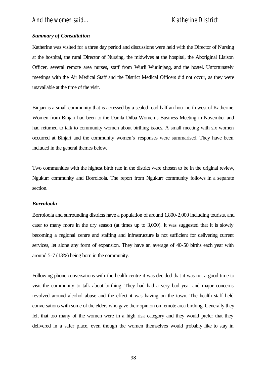# *Summary of Consultation*

Katherine was visited for a three day period and discussions were held with the Director of Nursing at the hospital, the rural Director of Nursing, the midwives at the hospital, the Aboriginal Liaison Officer, several remote area nurses, staff from Wurli Wurlinjang, and the hostel. Unfortunately meetings with the Air Medical Staff and the District Medical Officers did not occur, as they were unavailable at the time of the visit.

Binjari is a small community that is accessed by a sealed road half an hour north west of Katherine. Women from Binjari had been to the Danila Dilba Women's Business Meeting in November and had returned to talk to community women about birthing issues. A small meeting with six women occurred at Binjari and the community women's responses were summarised. They have been included in the general themes below.

Two communities with the highest birth rate in the district were chosen to be in the original review, Ngukurr community and Borroloola. The report from Ngukurr community follows in a separate section.

### *Borroloola*

Borroloola and surrounding districts have a population of around 1,800-2,000 including tourists, and cater to many more in the dry season (at times up to 3,000). It was suggested that it is slowly becoming a regional centre and staffing and infrastructure is not sufficient for delivering current services, let alone any form of expansion. They have an average of 40-50 births each year with around 5-7 (13%) being born in the community.

Following phone conversations with the health centre it was decided that it was not a good time to visit the community to talk about birthing. They had had a very bad year and major concerns revolved around alcohol abuse and the effect it was having on the town. The health staff held conversations with some of the elders who gave their opinion on remote area birthing. Generally they felt that too many of the women were in a high risk category and they would prefer that they delivered in a safer place, even though the women themselves would probably like to stay in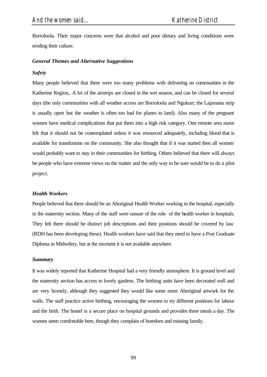Borroloola. Their major concerns were that alcohol and poor dietary and living conditions were eroding their culture.

### *General Themes and Alternative Suggestions*

### *Safety*

Many people believed that there were too many problems with delivering on communities in the Katherine Region,. A lot of the airstrips are closed in the wet season, and can be closed for several days (the only communities with all weather access are Borroloola and Ngukurr; the Lajamanu strip is usually open but the weather is often too bad for planes to land). Also many of the pregnant women have medical complications that put them into a high risk category. One remote area nurse felt that it should not be contemplated unless it was resourced adequately, including blood that is available for transfusions on the community. She also thought that if it was started then all women would probably want to stay in their communities for birthing. Others believed that there will always be people who have extreme views on the matter and the only way to be sure would be to do a pilot project.

### *Health Workers*

People believed that there should be an Aboriginal Health Worker working in the hospital, especially in the maternity section. Many of the staff were unsure of the role of the health worker in hospitals. They felt there should be distinct job descriptions and their positions should be covered by law (RDH has been developing these). Health workers have said that they need to have a Post Graduate Diploma in Midwifery, but at the moment it is not available anywhere.

### *Summary*

It was widely reported that Katherine Hospital had a very friendly atmosphere. It is ground level and the maternity section has access to lovely gardens. The birthing units have been decorated well and are very homely, although they suggested they would like some more Aboriginal artwork for the walls. The staff practice active birthing, encouraging the women to try different positions for labour and the birth. The hostel is a secure place on hospital grounds and provides three meals a day. The women seem comfortable here, though they complain of boredom and missing family.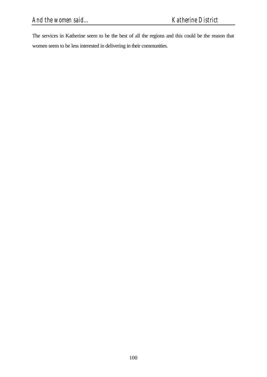The services in Katherine seem to be the best of all the regions and this could be the reason that women seem to be less interested in delivering in their communities.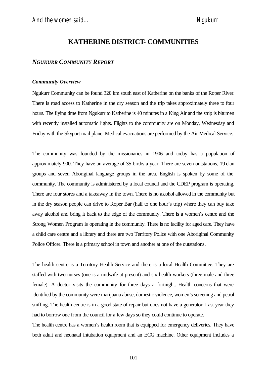# **KATHERINE DISTRICT- COMMUNITIES**

# *NGUKURR COMMUNITY REPORT*

#### *Community Overview*

Ngukurr Community can be found 320 km south east of Katherine on the banks of the Roper River. There is road access to Katherine in the dry season and the trip takes approximately three to four hours. The flying time from Ngukurr to Katherine is 40 minutes in a King Air and the strip is bitumen with recently installed automatic lights. Flights to the community are on Monday, Wednesday and Friday with the Skyport mail plane. Medical evacuations are performed by the Air Medical Service.

The community was founded by the missionaries in 1906 and today has a population of approximately 900. They have an average of 35 births a year. There are seven outstations, 19 clan groups and seven Aboriginal language groups in the area. English is spoken by some of the community. The community is administered by a local council and the CDEP program is operating. There are four stores and a takeaway in the town. There is no alcohol allowed in the community but in the dry season people can drive to Roper Bar (half to one hour's trip) where they can buy take away alcohol and bring it back to the edge of the community. There is a women's centre and the Strong Women Program is operating in the community. There is no facility for aged care. They have a child care centre and a library and there are two Territory Police with one Aboriginal Community Police Officer. There is a primary school in town and another at one of the outstations.

The health centre is a Territory Health Service and there is a local Health Committee. They are staffed with two nurses (one is a midwife at present) and six health workers (three male and three female). A doctor visits the community for three days a fortnight. Health concerns that were identified by the community were marijuana abuse, domestic violence, women's screening and petrol sniffing. The health centre is in a good state of repair but does not have a generator. Last year they had to borrow one from the council for a few days so they could continue to operate.

The health centre has a women's health room that is equipped for emergency deliveries. They have both adult and neonatal intubation equipment and an ECG machine. Other equipment includes a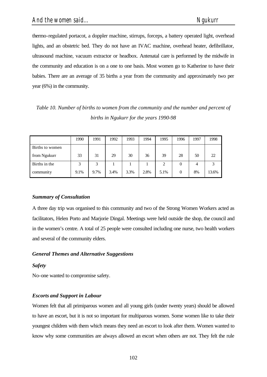thermo-regulated portacot, a doppler machine, stirrups, forceps, a battery operated light, overhead lights, and an obstetric bed. They do not have an IVAC machine, overhead heater, defibrillator, ultrasound machine, vacuum extractor or headbox. Antenatal care is performed by the midwife in the community and education is on a one to one basis. Most women go to Katherine to have their babies. There are an average of 35 births a year from the community and approximately two per year (6%) in the community.

*Table 10. Number of births to women from the community and the number and percent of births in Ngukurr for the years 1990-98*

|                 | 1990 | 1991 | 1992 | 1993 | 1994 | 1995 | 1996 | 1997 | 1998  |
|-----------------|------|------|------|------|------|------|------|------|-------|
| Births to women |      |      |      |      |      |      |      |      |       |
| from Ngukurr    | 33   | 31   | 29   | 30   | 36   | 39   | 28   | 50   | 22    |
| Births in the   | 3    | 3    |      |      |      | 2    |      |      | 3     |
| community       | 9.1% | 9.7% | 3.4% | 3.3% | 2.8% | 5.1% |      | 8%   | 13.6% |

# *Summary of Consultation*

A three day trip was organised to this community and two of the Strong Women Workers acted as facilitators, Helen Porto and Marjorie Dingal. Meetings were held outside the shop, the council and in the women's centre. A total of 25 people were consulted including one nurse, two health workers and several of the community elders.

# *General Themes and Alternative Suggestions*

# *Safety*

No-one wanted to compromise safety.

# *Escorts and Support in Labour*

Women felt that all primiparous women and all young girls (under twenty years) should be allowed to have an escort, but it is not so important for multiparous women. Some women like to take their youngest children with them which means they need an escort to look after them. Women wanted to know why some communities are always allowed an escort when others are not. They felt the rule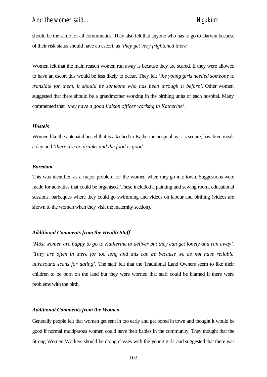should be the same for all communities. They also felt that anyone who has to go to Darwin because of their risk status should have an escort, as *'they get very frightened there'*.

Women felt that the main reason women run away is because they are scared. If they were allowed to have an escort this would be less likely to occur. They felt *'the young girls needed someone to translate for them, it should be someone who has been through it before'*. Other women suggested that there should be a grandmother working in the birthing units of each hospital. Many commented that *'they have a good liaison officer working in Katherine'*.

#### *Hostels*

Women like the antenatal hostel that is attached to Katherine hospital as it is secure, has three meals a day and *'there are no drunks and the food is good'*.

#### *Boredom*

This was identified as a major problem for the women when they go into town. Suggestions were made for activities that could be organised. These included a painting and sewing room, educational sessions, barbeques where they could go swimming and videos on labour and birthing (videos are shown to the women when they visit the maternity section).

### *Additional Comments from the Health Staff*

*'Most women are happy to go to Katherine to deliver but they can get lonely and run away'*. *'They are often in there for too long and this can be because we do not have reliable ultrasound scans for dating'*. The staff felt that the Traditional Land Owners seem to like their children to be born on the land but they were worried that staff could be blamed if there were problems with the birth.

#### *Additional Comments from the Women*

Generally people felt that women get sent in too early and get bored in town and thought it would be good if normal multiparous women could have their babies in the community. They thought that the Strong Women Workers should be doing classes with the young girls and suggested that there was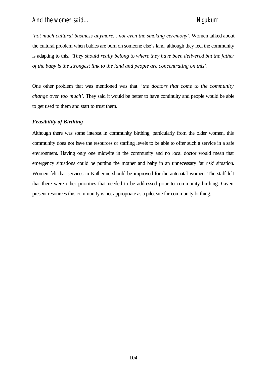*'not much cultural business anymore... not even the smoking ceremony'*. Women talked about the cultural problem when babies are born on someone else's land, although they feel the community is adapting to this. *'They should really belong to where they have been delivered but the father of the baby is the strongest link to the land and people are concentrating on this'*.

One other problem that was mentioned was that *'the doctors that come to the community change over too much'*. They said it would be better to have continuity and people would be able to get used to them and start to trust them.

## *Feasibility of Birthing*

Although there was some interest in community birthing, particularly from the older women, this community does not have the resources or staffing levels to be able to offer such a service in a safe environment. Having only one midwife in the community and no local doctor would mean that emergency situations could be putting the mother and baby in an unnecessary 'at risk' situation. Women felt that services in Katherine should be improved for the antenatal women. The staff felt that there were other priorities that needed to be addressed prior to community birthing. Given present resources this community is not appropriate as a pilot site for community birthing.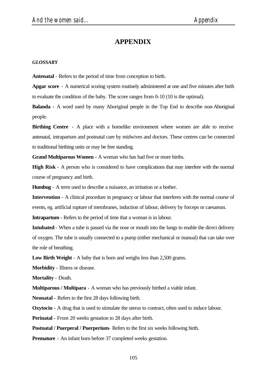## **APPENDIX**

## *GLOSSARY*

**Antenatal** - Refers to the period of time from conception to birth.

**Apgar score** - A numerical scoring system routinely administered at one and five minutes after birth to evaluate the condition of the baby. The score ranges from 0-10 (10 is the optimal).

**Balanda** - A word used by many Aboriginal people in the Top End to describe non-Aboriginal people.

**Birthing Centre** - A place with a homelike environment where women are able to receive antenatal, intrapartum and postnatal care by midwives and doctors. These centres can be connected to traditional birthing units or may be free standing.

**Grand Multiparous Women -** A woman who has had five or more births.

**High Risk** - A person who is considered to have complications that may interfere with the normal course of pregnancy and birth.

**Humbug** - A term used to describe a nuisance, an irritation or a bother.

**Intervention** - A clinical procedure in pregnancy or labour that interferes with the normal course of events, eg. artificial rupture of membranes, induction of labour, delivery by forceps or caesarean.

**Intrapartum -** Refers to the period of time that a woman is in labour.

**Intubated** - When a tube is passed via the nose or mouth into the lungs to enable the direct delivery of oxygen. The tube is usually connected to a pump (either mechanical or manual) that can take over the role of breathing.

**Low Birth Weight** - A baby that is born and weighs less than 2,500 grams.

**Morbidity** - Illness or disease.

**Mortality** - Death.

**Multiparous / Multipara** - A woman who has previously birthed a viable infant.

**Neonatal** - Refers to the first 28 days following birth.

**Oxytocin** - A drug that is used to stimulate the uterus to contract, often used to induce labour.

**Perinatal** - From 20 weeks gestation to 28 days after birth.

**Postnatal / Puerperal / Puerperium**- Refers to the first six weeks following birth.

**Premature** - An infant born before 37 completed weeks gestation.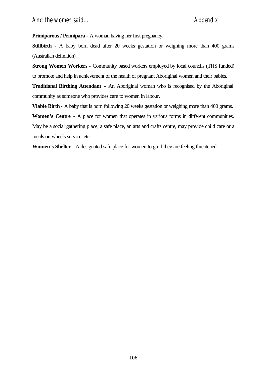**Primiparous / Primipara** - A woman having her first pregnancy.

**Stillbirth** - A baby born dead after 20 weeks gestation or weighing more than 400 grams (Australian definition).

**Strong Women Workers** - Community based workers employed by local councils (THS funded) to promote and help in achievement of the health of pregnant Aboriginal women and their babies.

**Traditional Birthing Attendant** - An Aboriginal woman who is recognised by the Aboriginal community as someone who provides care to women in labour.

**Viable Birth** - A baby that is born following 20 weeks gestation or weighing more than 400 grams.

**Women's Centre** - A place for women that operates in various forms in different communities. May be a social gathering place, a safe place, an arts and crafts centre, may provide child care or a meals on wheels service, etc.

**Women's Shelter** - A designated safe place for women to go if they are feeling threatened.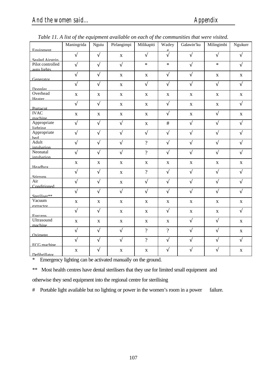|                                     | Table 11. A ust of the equipment available on each of the communities that were visited. |              |              |                |                          |             |              |              |
|-------------------------------------|------------------------------------------------------------------------------------------|--------------|--------------|----------------|--------------------------|-------------|--------------|--------------|
|                                     | Maningrida                                                                               | Nguiu        | Pirlangimpi  | Milikapiti     | Wadey                    | Galawin'ku  | Milingimbi   | Ngukurr      |
| <b>Equinment</b>                    |                                                                                          |              |              |                |                          |             |              |              |
|                                     | $\sqrt{ }$                                                                               | $\sqrt{ }$   | $\mathbf X$  | $\sqrt{ }$     | $\sqrt{}$                | $\sqrt{}$   | $\sqrt{ }$   | $\sqrt{}$    |
| Sealed Airstrin<br>Pilot controlled |                                                                                          | $\sqrt{}$    | $\sqrt{}$    | $\ast$         | $\ast$                   |             | $\ast$       | $\sqrt{}$    |
| auto lights                         | $\sqrt{}$                                                                                |              |              |                |                          | $\sqrt{}$   |              |              |
|                                     | $\sqrt{}$                                                                                | $\sqrt{}$    |              |                | $\sqrt{ }$               | $\sqrt{}$   |              |              |
| Generator                           |                                                                                          |              | $\mathbf{X}$ | $\mathbf{X}$   |                          |             | $\mathbf X$  | $\mathbf{X}$ |
|                                     | $\sqrt{}$                                                                                | $\sqrt{ }$   | X            | $\sqrt{}$      | $\sqrt{ }$               | $\sqrt{}$   | $\sqrt{ }$   | $\sqrt{ }$   |
| <b>Donnler</b>                      |                                                                                          |              |              |                |                          |             |              |              |
| Overhead                            | $\mathbf X$                                                                              | $\mathbf{X}$ | $\mathbf{X}$ | $\mathbf{X}$   | $\mathbf X$              | $\mathbf X$ | $\mathbf X$  | $\mathbf{X}$ |
| Heater                              |                                                                                          |              |              |                |                          |             |              |              |
|                                     | $\sqrt{}$                                                                                | $\sqrt{}$    | $\mathbf X$  | $\mathbf X$    | $\sqrt{}$                | X           | $\mathbf X$  | $\sqrt{}$    |
| Portacot                            |                                                                                          |              |              |                |                          |             |              |              |
| <b>IVAC</b>                         | $\mathbf X$                                                                              | X            | X            | X              | $\sqrt{ }$               | X           | $\sqrt{ }$   | $\mathbf X$  |
| machine                             |                                                                                          |              |              |                |                          |             |              |              |
| Appropriate                         | $\sqrt{}$                                                                                | $\sqrt{}$    | $\sqrt{}$    | X              | $\#$                     | $\sqrt{}$   |              | $\sqrt{}$    |
| lighting                            |                                                                                          |              |              |                |                          |             |              |              |
| Appropriate                         | V                                                                                        | $\sqrt{ }$   | $\sqrt{}$    | $\sqrt{}$      | $\sqrt{}$                | $\sqrt{}$   | V            | V            |
| hed<br>Adult                        | $\sqrt{}$                                                                                | $\sqrt{}$    |              | $\overline{?}$ |                          |             |              |              |
| intuhation                          |                                                                                          |              | $\sqrt{}$    |                | $\sqrt{}$                | $\sqrt{}$   | V            | V            |
| Neonatal                            | $\sqrt{}$                                                                                | $\sqrt{}$    | $\sqrt{}$    | $\overline{?}$ | $\sqrt{}$                | $\sqrt{}$   | $\sqrt{}$    | $\sqrt{}$    |
| intubation                          |                                                                                          |              |              |                |                          |             |              |              |
|                                     | $\mathbf X$                                                                              | X            | $\mathbf X$  | $\mathbf X$    | $\mathbf X$              | $\mathbf X$ | $\mathbf X$  | $\mathbf X$  |
| Headhox                             |                                                                                          |              |              |                |                          |             |              |              |
|                                     | $\sqrt{2}$                                                                               | $\sqrt{}$    | $\mathbf X$  | $\overline{?}$ | $\sqrt{ }$               | $\sqrt{}$   | $\sqrt{ }$   | $\sqrt{ }$   |
| Stirruns                            |                                                                                          |              |              |                |                          |             |              |              |
| Air                                 | $\sqrt{}$                                                                                | $\sqrt{}$    | $\mathbf X$  | $\sqrt{}$      | $\sqrt{}$                | $\sqrt{}$   | $\sqrt{}$    | $\sqrt{}$    |
| Conditioned                         |                                                                                          |              |              |                |                          |             |              |              |
|                                     | $\sqrt{}$                                                                                | V            | $\sqrt{}$    | $\sqrt{}$      | $\sqrt{ }$               | $\sqrt{}$   | $\sqrt{}$    | $\sqrt{}$    |
| Steriliser**                        |                                                                                          |              |              |                |                          |             |              |              |
| Vacuum                              | $\mathbf X$                                                                              | $\mathbf{X}$ | X            | $\mathbf{X}$   | X                        | X           | $\mathbf{X}$ | $\mathbf{X}$ |
| extractor                           |                                                                                          |              |              |                |                          |             |              |              |
|                                     | $\sqrt{}$                                                                                | $\sqrt{}$    | $\mathbf X$  | $\mathbf{X}$   | $\sqrt{}$                | X           | $\mathbf X$  | $\sqrt{ }$   |
| <b>Forcens</b><br>Ultrasound        |                                                                                          |              |              |                |                          |             |              |              |
| machine                             | $\mathbf X$                                                                              | $\mathbf X$  | $\mathbf X$  | $\mathbf X$    | X                        | $\sqrt{}$   | V            | $\mathbf X$  |
|                                     | $\sqrt{}$                                                                                | $\sqrt{}$    | $\sqrt{}$    | $\overline{?}$ | $\overline{\mathcal{L}}$ | $\sqrt{}$   | $\sqrt{}$    |              |
| <b>Oximeter</b>                     |                                                                                          |              |              |                |                          |             |              | $\mathbf X$  |
|                                     | $\sqrt{}$                                                                                | $\sqrt{}$    | $\sqrt{}$    | $\overline{?}$ | $\sqrt{}$                | $\sqrt{}$   |              | $\sqrt{}$    |
| FCG machine                         |                                                                                          |              |              |                |                          |             |              |              |
|                                     | $\mathbf X$                                                                              | V            | $\mathbf X$  | $\mathbf X$    | $\sqrt{}$                | V           |              | $\mathbf X$  |
| Defibrillator                       |                                                                                          |              |              |                |                          |             |              |              |

*Table 11. A list of the equipment available on each of the communities that were visited.*

\* Emergency lighting can be activated manually on the ground.

\*\* Most health centres have dental sterilisers that they use for limited small equipment and

otherwise they send equipment into the regional centre for sterilising

# Portable light available but no lighting or power in the women's room in a power failure.